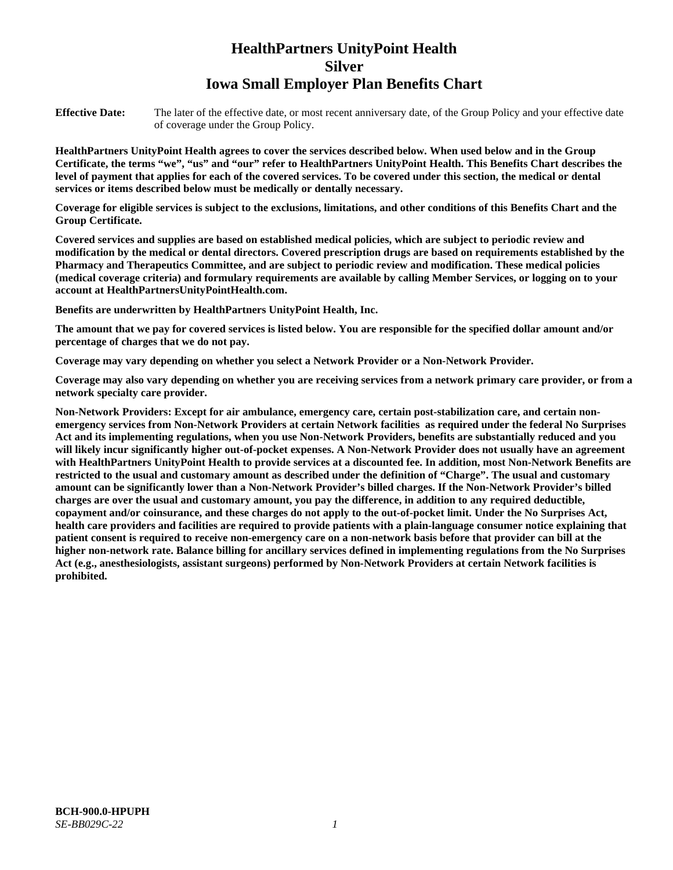# **HealthPartners UnityPoint Health Silver Iowa Small Employer Plan Benefits Chart**

**Effective Date:** The later of the effective date, or most recent anniversary date, of the Group Policy and your effective date of coverage under the Group Policy.

**HealthPartners UnityPoint Health agrees to cover the services described below. When used below and in the Group Certificate, the terms "we", "us" and "our" refer to HealthPartners UnityPoint Health. This Benefits Chart describes the level of payment that applies for each of the covered services. To be covered under this section, the medical or dental services or items described below must be medically or dentally necessary.**

**Coverage for eligible services is subject to the exclusions, limitations, and other conditions of this Benefits Chart and the Group Certificate.** 

**Covered services and supplies are based on established medical policies, which are subject to periodic review and modification by the medical or dental directors. Covered prescription drugs are based on requirements established by the Pharmacy and Therapeutics Committee, and are subject to periodic review and modification. These medical policies (medical coverage criteria) and formulary requirements are available by calling Member Services, or logging on to your account at [HealthPartnersUnityPointHealth.com.](https://www.healthpartnersunitypointhealth.com/)**

**Benefits are underwritten by HealthPartners UnityPoint Health, Inc.**

**The amount that we pay for covered services is listed below. You are responsible for the specified dollar amount and/or percentage of charges that we do not pay.**

**Coverage may vary depending on whether you select a Network Provider or a Non-Network Provider.**

**Coverage may also vary depending on whether you are receiving services from a network primary care provider, or from a network specialty care provider.**

**Non-Network Providers: Except for air ambulance, emergency care, certain post-stabilization care, and certain nonemergency services from Non-Network Providers at certain Network facilities as required under the federal No Surprises Act and its implementing regulations, when you use Non-Network Providers, benefits are substantially reduced and you will likely incur significantly higher out-of-pocket expenses. A Non-Network Provider does not usually have an agreement with HealthPartners UnityPoint Health to provide services at a discounted fee. In addition, most Non-Network Benefits are restricted to the usual and customary amount as described under the definition of "Charge". The usual and customary amount can be significantly lower than a Non-Network Provider's billed charges. If the Non-Network Provider's billed charges are over the usual and customary amount, you pay the difference, in addition to any required deductible, copayment and/or coinsurance, and these charges do not apply to the out-of-pocket limit. Under the No Surprises Act, health care providers and facilities are required to provide patients with a plain-language consumer notice explaining that patient consent is required to receive non-emergency care on a non-network basis before that provider can bill at the higher non-network rate. Balance billing for ancillary services defined in implementing regulations from the No Surprises Act (e.g., anesthesiologists, assistant surgeons) performed by Non-Network Providers at certain Network facilities is prohibited.**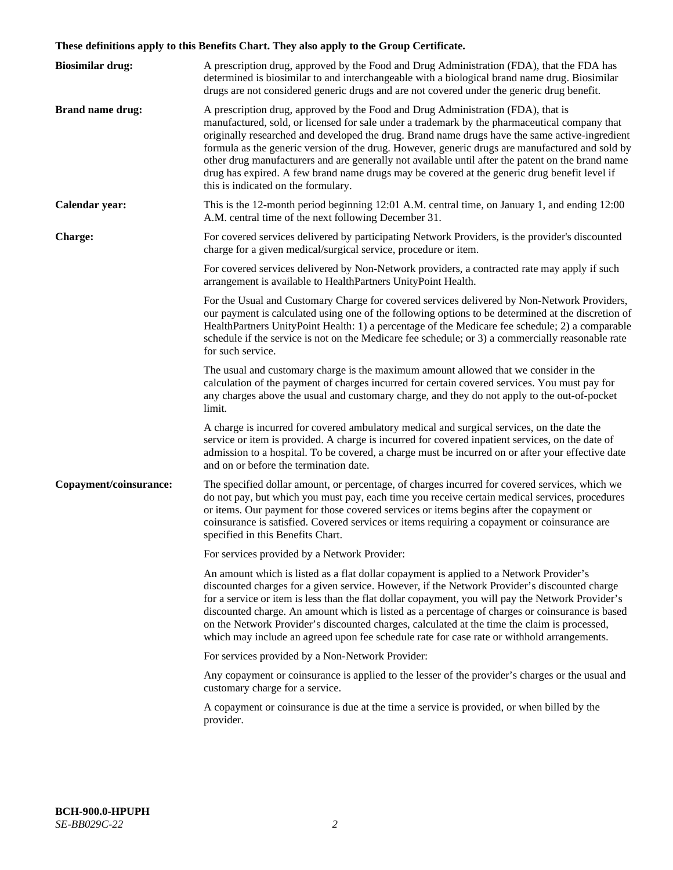# **These definitions apply to this Benefits Chart. They also apply to the Group Certificate.**

| <b>Biosimilar drug:</b> | A prescription drug, approved by the Food and Drug Administration (FDA), that the FDA has<br>determined is biosimilar to and interchangeable with a biological brand name drug. Biosimilar<br>drugs are not considered generic drugs and are not covered under the generic drug benefit.                                                                                                                                                                                                                                                                                                                                           |
|-------------------------|------------------------------------------------------------------------------------------------------------------------------------------------------------------------------------------------------------------------------------------------------------------------------------------------------------------------------------------------------------------------------------------------------------------------------------------------------------------------------------------------------------------------------------------------------------------------------------------------------------------------------------|
| <b>Brand name drug:</b> | A prescription drug, approved by the Food and Drug Administration (FDA), that is<br>manufactured, sold, or licensed for sale under a trademark by the pharmaceutical company that<br>originally researched and developed the drug. Brand name drugs have the same active-ingredient<br>formula as the generic version of the drug. However, generic drugs are manufactured and sold by<br>other drug manufacturers and are generally not available until after the patent on the brand name<br>drug has expired. A few brand name drugs may be covered at the generic drug benefit level if<br>this is indicated on the formulary. |
| Calendar year:          | This is the 12-month period beginning 12:01 A.M. central time, on January 1, and ending 12:00<br>A.M. central time of the next following December 31.                                                                                                                                                                                                                                                                                                                                                                                                                                                                              |
| Charge:                 | For covered services delivered by participating Network Providers, is the provider's discounted<br>charge for a given medical/surgical service, procedure or item.                                                                                                                                                                                                                                                                                                                                                                                                                                                                 |
|                         | For covered services delivered by Non-Network providers, a contracted rate may apply if such<br>arrangement is available to HealthPartners UnityPoint Health.                                                                                                                                                                                                                                                                                                                                                                                                                                                                      |
|                         | For the Usual and Customary Charge for covered services delivered by Non-Network Providers,<br>our payment is calculated using one of the following options to be determined at the discretion of<br>HealthPartners UnityPoint Health: 1) a percentage of the Medicare fee schedule; 2) a comparable<br>schedule if the service is not on the Medicare fee schedule; or 3) a commercially reasonable rate<br>for such service.                                                                                                                                                                                                     |
|                         | The usual and customary charge is the maximum amount allowed that we consider in the<br>calculation of the payment of charges incurred for certain covered services. You must pay for<br>any charges above the usual and customary charge, and they do not apply to the out-of-pocket<br>limit.                                                                                                                                                                                                                                                                                                                                    |
|                         | A charge is incurred for covered ambulatory medical and surgical services, on the date the<br>service or item is provided. A charge is incurred for covered inpatient services, on the date of<br>admission to a hospital. To be covered, a charge must be incurred on or after your effective date<br>and on or before the termination date.                                                                                                                                                                                                                                                                                      |
| Copayment/coinsurance:  | The specified dollar amount, or percentage, of charges incurred for covered services, which we<br>do not pay, but which you must pay, each time you receive certain medical services, procedures<br>or items. Our payment for those covered services or items begins after the copayment or<br>coinsurance is satisfied. Covered services or items requiring a copayment or coinsurance are<br>specified in this Benefits Chart.                                                                                                                                                                                                   |
|                         | For services provided by a Network Provider:                                                                                                                                                                                                                                                                                                                                                                                                                                                                                                                                                                                       |
|                         | An amount which is listed as a flat dollar copayment is applied to a Network Provider's<br>discounted charges for a given service. However, if the Network Provider's discounted charge<br>for a service or item is less than the flat dollar copayment, you will pay the Network Provider's<br>discounted charge. An amount which is listed as a percentage of charges or coinsurance is based<br>on the Network Provider's discounted charges, calculated at the time the claim is processed,<br>which may include an agreed upon fee schedule rate for case rate or withhold arrangements.                                      |
|                         | For services provided by a Non-Network Provider:                                                                                                                                                                                                                                                                                                                                                                                                                                                                                                                                                                                   |
|                         | Any copayment or coinsurance is applied to the lesser of the provider's charges or the usual and<br>customary charge for a service.                                                                                                                                                                                                                                                                                                                                                                                                                                                                                                |
|                         | A copayment or coinsurance is due at the time a service is provided, or when billed by the<br>provider.                                                                                                                                                                                                                                                                                                                                                                                                                                                                                                                            |
|                         |                                                                                                                                                                                                                                                                                                                                                                                                                                                                                                                                                                                                                                    |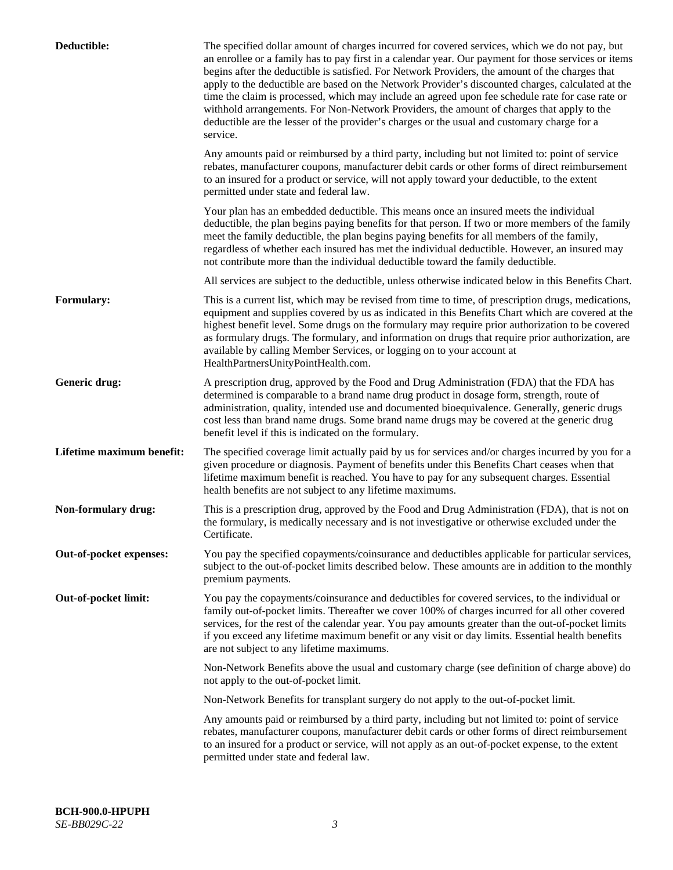| Deductible:               | The specified dollar amount of charges incurred for covered services, which we do not pay, but<br>an enrollee or a family has to pay first in a calendar year. Our payment for those services or items<br>begins after the deductible is satisfied. For Network Providers, the amount of the charges that<br>apply to the deductible are based on the Network Provider's discounted charges, calculated at the<br>time the claim is processed, which may include an agreed upon fee schedule rate for case rate or<br>withhold arrangements. For Non-Network Providers, the amount of charges that apply to the<br>deductible are the lesser of the provider's charges or the usual and customary charge for a<br>service. |
|---------------------------|----------------------------------------------------------------------------------------------------------------------------------------------------------------------------------------------------------------------------------------------------------------------------------------------------------------------------------------------------------------------------------------------------------------------------------------------------------------------------------------------------------------------------------------------------------------------------------------------------------------------------------------------------------------------------------------------------------------------------|
|                           | Any amounts paid or reimbursed by a third party, including but not limited to: point of service<br>rebates, manufacturer coupons, manufacturer debit cards or other forms of direct reimbursement<br>to an insured for a product or service, will not apply toward your deductible, to the extent<br>permitted under state and federal law.                                                                                                                                                                                                                                                                                                                                                                                |
|                           | Your plan has an embedded deductible. This means once an insured meets the individual<br>deductible, the plan begins paying benefits for that person. If two or more members of the family<br>meet the family deductible, the plan begins paying benefits for all members of the family,<br>regardless of whether each insured has met the individual deductible. However, an insured may<br>not contribute more than the individual deductible toward the family deductible.                                                                                                                                                                                                                                              |
|                           | All services are subject to the deductible, unless otherwise indicated below in this Benefits Chart.                                                                                                                                                                                                                                                                                                                                                                                                                                                                                                                                                                                                                       |
| <b>Formulary:</b>         | This is a current list, which may be revised from time to time, of prescription drugs, medications,<br>equipment and supplies covered by us as indicated in this Benefits Chart which are covered at the<br>highest benefit level. Some drugs on the formulary may require prior authorization to be covered<br>as formulary drugs. The formulary, and information on drugs that require prior authorization, are<br>available by calling Member Services, or logging on to your account at<br>HealthPartnersUnityPointHealth.com.                                                                                                                                                                                         |
| Generic drug:             | A prescription drug, approved by the Food and Drug Administration (FDA) that the FDA has<br>determined is comparable to a brand name drug product in dosage form, strength, route of<br>administration, quality, intended use and documented bioequivalence. Generally, generic drugs<br>cost less than brand name drugs. Some brand name drugs may be covered at the generic drug<br>benefit level if this is indicated on the formulary.                                                                                                                                                                                                                                                                                 |
| Lifetime maximum benefit: | The specified coverage limit actually paid by us for services and/or charges incurred by you for a<br>given procedure or diagnosis. Payment of benefits under this Benefits Chart ceases when that<br>lifetime maximum benefit is reached. You have to pay for any subsequent charges. Essential<br>health benefits are not subject to any lifetime maximums.                                                                                                                                                                                                                                                                                                                                                              |
| Non-formulary drug:       | This is a prescription drug, approved by the Food and Drug Administration (FDA), that is not on<br>the formulary, is medically necessary and is not investigative or otherwise excluded under the<br>Certificate.                                                                                                                                                                                                                                                                                                                                                                                                                                                                                                          |
| Out-of-pocket expenses:   | You pay the specified copayments/coinsurance and deductibles applicable for particular services,<br>subject to the out-of-pocket limits described below. These amounts are in addition to the monthly<br>premium payments.                                                                                                                                                                                                                                                                                                                                                                                                                                                                                                 |
| Out-of-pocket limit:      | You pay the copayments/coinsurance and deductibles for covered services, to the individual or<br>family out-of-pocket limits. Thereafter we cover 100% of charges incurred for all other covered<br>services, for the rest of the calendar year. You pay amounts greater than the out-of-pocket limits<br>if you exceed any lifetime maximum benefit or any visit or day limits. Essential health benefits<br>are not subject to any lifetime maximums.                                                                                                                                                                                                                                                                    |
|                           | Non-Network Benefits above the usual and customary charge (see definition of charge above) do<br>not apply to the out-of-pocket limit.                                                                                                                                                                                                                                                                                                                                                                                                                                                                                                                                                                                     |
|                           | Non-Network Benefits for transplant surgery do not apply to the out-of-pocket limit.                                                                                                                                                                                                                                                                                                                                                                                                                                                                                                                                                                                                                                       |
|                           | Any amounts paid or reimbursed by a third party, including but not limited to: point of service<br>rebates, manufacturer coupons, manufacturer debit cards or other forms of direct reimbursement<br>to an insured for a product or service, will not apply as an out-of-pocket expense, to the extent<br>permitted under state and federal law.                                                                                                                                                                                                                                                                                                                                                                           |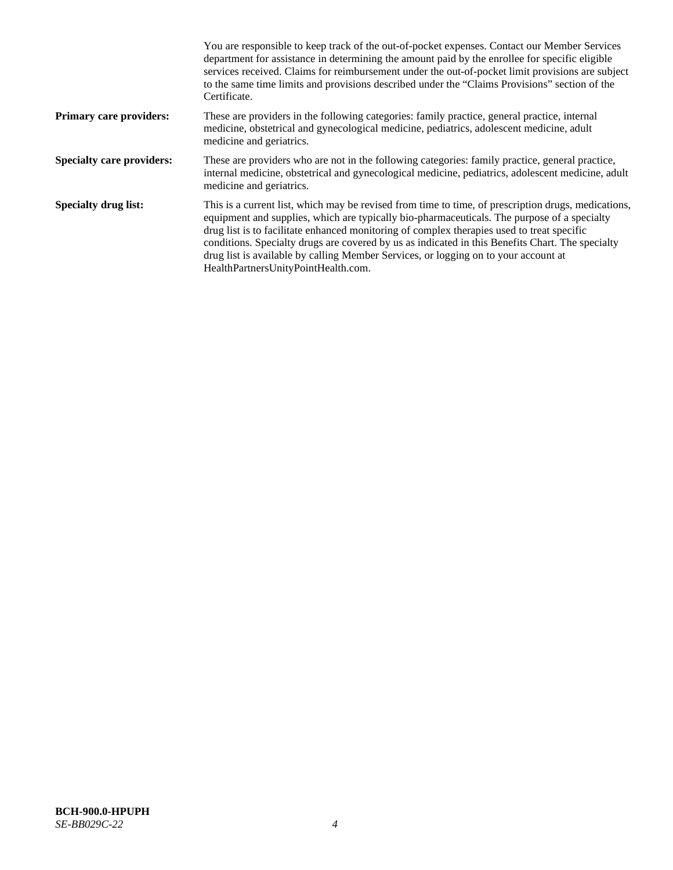|                                  | You are responsible to keep track of the out-of-pocket expenses. Contact our Member Services<br>department for assistance in determining the amount paid by the enrollee for specific eligible<br>services received. Claims for reimbursement under the out-of-pocket limit provisions are subject<br>to the same time limits and provisions described under the "Claims Provisions" section of the<br>Certificate.                                                                                                                |
|----------------------------------|------------------------------------------------------------------------------------------------------------------------------------------------------------------------------------------------------------------------------------------------------------------------------------------------------------------------------------------------------------------------------------------------------------------------------------------------------------------------------------------------------------------------------------|
| <b>Primary care providers:</b>   | These are providers in the following categories: family practice, general practice, internal<br>medicine, obstetrical and gynecological medicine, pediatrics, adolescent medicine, adult<br>medicine and geriatrics.                                                                                                                                                                                                                                                                                                               |
| <b>Specialty care providers:</b> | These are providers who are not in the following categories: family practice, general practice,<br>internal medicine, obstetrical and gynecological medicine, pediatrics, adolescent medicine, adult<br>medicine and geriatrics.                                                                                                                                                                                                                                                                                                   |
| <b>Specialty drug list:</b>      | This is a current list, which may be revised from time to time, of prescription drugs, medications,<br>equipment and supplies, which are typically bio-pharmaceuticals. The purpose of a specialty<br>drug list is to facilitate enhanced monitoring of complex therapies used to treat specific<br>conditions. Specialty drugs are covered by us as indicated in this Benefits Chart. The specialty<br>drug list is available by calling Member Services, or logging on to your account at<br>HealthPartnersUnityPointHealth.com. |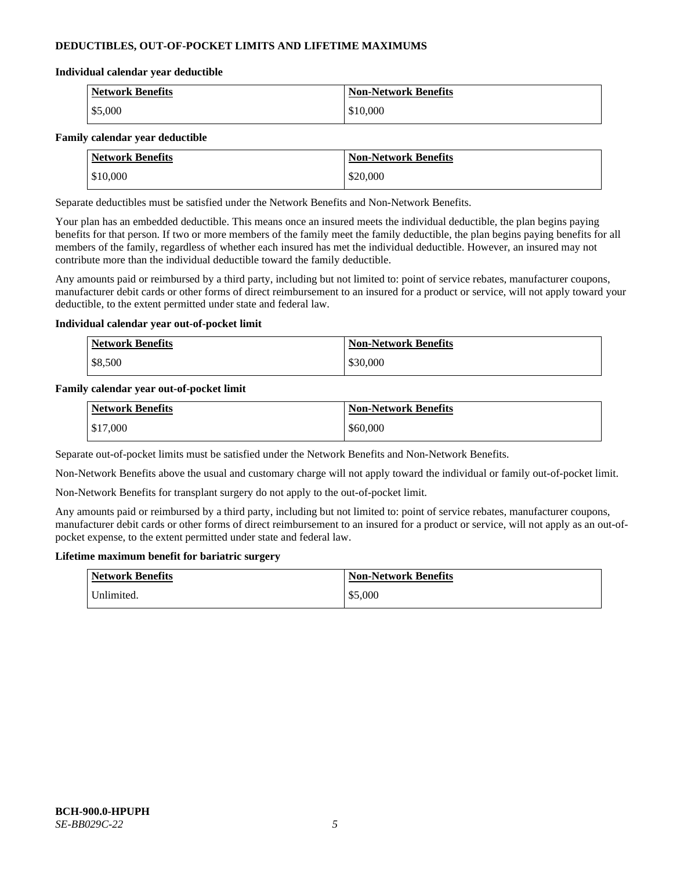# **DEDUCTIBLES, OUT-OF-POCKET LIMITS AND LIFETIME MAXIMUMS**

#### **Individual calendar year deductible**

| <b>Network Benefits</b> | <b>Non-Network Benefits</b> |
|-------------------------|-----------------------------|
| \$5,000                 | \$10,000                    |

### **Family calendar year deductible**

| <b>Network Benefits</b> | <b>Non-Network Benefits</b> |
|-------------------------|-----------------------------|
| \$10,000                | \$20,000                    |

Separate deductibles must be satisfied under the Network Benefits and Non-Network Benefits.

Your plan has an embedded deductible. This means once an insured meets the individual deductible, the plan begins paying benefits for that person. If two or more members of the family meet the family deductible, the plan begins paying benefits for all members of the family, regardless of whether each insured has met the individual deductible. However, an insured may not contribute more than the individual deductible toward the family deductible.

Any amounts paid or reimbursed by a third party, including but not limited to: point of service rebates, manufacturer coupons, manufacturer debit cards or other forms of direct reimbursement to an insured for a product or service, will not apply toward your deductible, to the extent permitted under state and federal law.

### **Individual calendar year out-of-pocket limit**

| <b>Network Benefits</b> | <b>Non-Network Benefits</b> |
|-------------------------|-----------------------------|
| \$8,500                 | \$30,000                    |

### **Family calendar year out-of-pocket limit**

| <b>Network Benefits</b> | <b>Non-Network Benefits</b> |
|-------------------------|-----------------------------|
| \$17,000                | \$60,000                    |

Separate out-of-pocket limits must be satisfied under the Network Benefits and Non-Network Benefits.

Non-Network Benefits above the usual and customary charge will not apply toward the individual or family out-of-pocket limit.

Non-Network Benefits for transplant surgery do not apply to the out-of-pocket limit.

Any amounts paid or reimbursed by a third party, including but not limited to: point of service rebates, manufacturer coupons, manufacturer debit cards or other forms of direct reimbursement to an insured for a product or service, will not apply as an out-ofpocket expense, to the extent permitted under state and federal law.

#### **Lifetime maximum benefit for bariatric surgery**

| <b>Network Benefits</b> | <b>Non-Network Benefits</b> |
|-------------------------|-----------------------------|
| Jnlimited.              | \$5,000                     |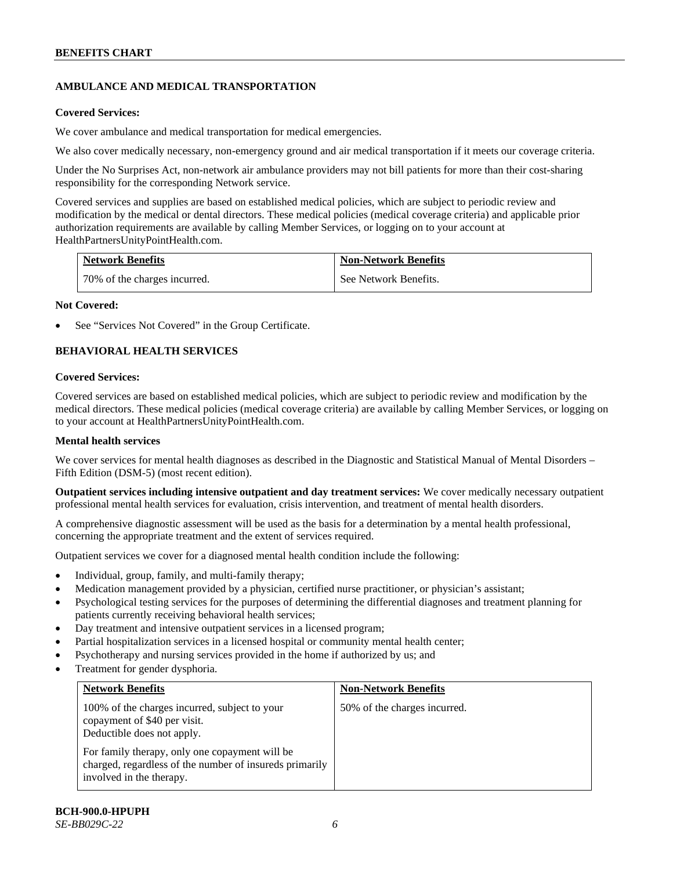# **AMBULANCE AND MEDICAL TRANSPORTATION**

### **Covered Services:**

We cover ambulance and medical transportation for medical emergencies.

We also cover medically necessary, non-emergency ground and air medical transportation if it meets our coverage criteria.

Under the No Surprises Act, non-network air ambulance providers may not bill patients for more than their cost-sharing responsibility for the corresponding Network service.

Covered services and supplies are based on established medical policies, which are subject to periodic review and modification by the medical or dental directors. These medical policies (medical coverage criteria) and applicable prior authorization requirements are available by calling Member Services, or logging on to your account at [HealthPartnersUnityPointHealth.com.](https://www.healthpartnersunitypointhealth.com/)

| <b>Network Benefits</b>      | <b>Non-Network Benefits</b> |
|------------------------------|-----------------------------|
| 70% of the charges incurred. | See Network Benefits.       |

### **Not Covered:**

See "Services Not Covered" in the Group Certificate.

# **BEHAVIORAL HEALTH SERVICES**

### **Covered Services:**

Covered services are based on established medical policies, which are subject to periodic review and modification by the medical directors. These medical policies (medical coverage criteria) are available by calling Member Services, or logging on to your account at [HealthPartnersUnityPointHealth.com.](https://www.healthpartnersunitypointhealth.com/)

### **Mental health services**

We cover services for mental health diagnoses as described in the Diagnostic and Statistical Manual of Mental Disorders – Fifth Edition (DSM-5) (most recent edition).

**Outpatient services including intensive outpatient and day treatment services:** We cover medically necessary outpatient professional mental health services for evaluation, crisis intervention, and treatment of mental health disorders.

A comprehensive diagnostic assessment will be used as the basis for a determination by a mental health professional, concerning the appropriate treatment and the extent of services required.

Outpatient services we cover for a diagnosed mental health condition include the following:

- Individual, group, family, and multi-family therapy;
- Medication management provided by a physician, certified nurse practitioner, or physician's assistant;
- Psychological testing services for the purposes of determining the differential diagnoses and treatment planning for patients currently receiving behavioral health services;
- Day treatment and intensive outpatient services in a licensed program;
- Partial hospitalization services in a licensed hospital or community mental health center;
- Psychotherapy and nursing services provided in the home if authorized by us; and
- Treatment for gender dysphoria.

| <b>Network Benefits</b>                                                                                                               | <b>Non-Network Benefits</b>  |
|---------------------------------------------------------------------------------------------------------------------------------------|------------------------------|
| 100% of the charges incurred, subject to your<br>copayment of \$40 per visit.<br>Deductible does not apply.                           | 50% of the charges incurred. |
| For family therapy, only one copayment will be<br>charged, regardless of the number of insureds primarily<br>involved in the therapy. |                              |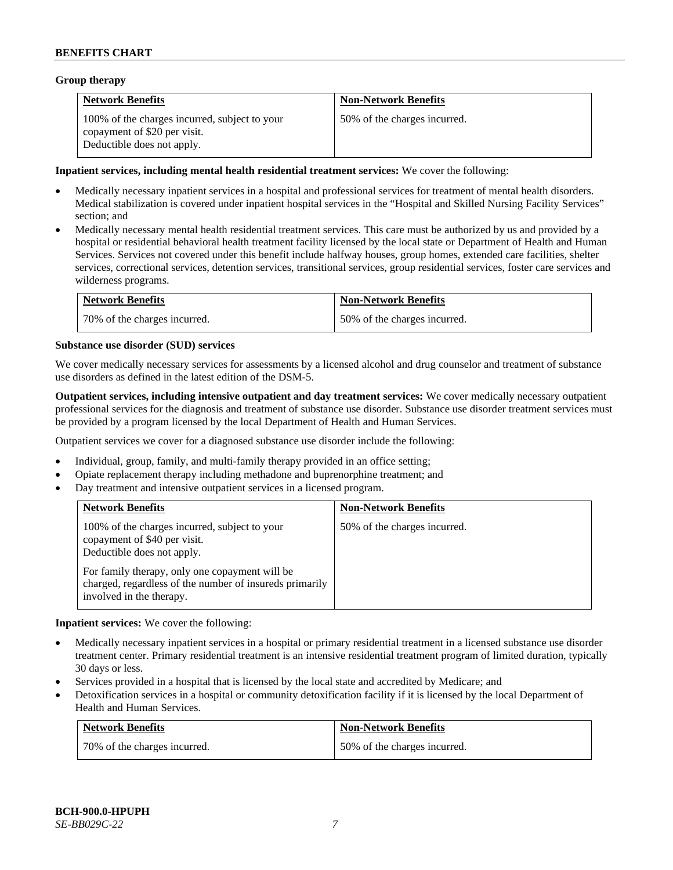### **Group therapy**

| <b>Network Benefits</b>                                                                                     | <b>Non-Network Benefits</b>  |
|-------------------------------------------------------------------------------------------------------------|------------------------------|
| 100% of the charges incurred, subject to your<br>copayment of \$20 per visit.<br>Deductible does not apply. | 50% of the charges incurred. |

### **Inpatient services, including mental health residential treatment services:** We cover the following:

- Medically necessary inpatient services in a hospital and professional services for treatment of mental health disorders. Medical stabilization is covered under inpatient hospital services in the "Hospital and Skilled Nursing Facility Services" section; and
- Medically necessary mental health residential treatment services. This care must be authorized by us and provided by a hospital or residential behavioral health treatment facility licensed by the local state or Department of Health and Human Services. Services not covered under this benefit include halfway houses, group homes, extended care facilities, shelter services, correctional services, detention services, transitional services, group residential services, foster care services and wilderness programs.

| <b>Network Benefits</b>      | <b>Non-Network Benefits</b>  |
|------------------------------|------------------------------|
| 70% of the charges incurred. | 50% of the charges incurred. |

### **Substance use disorder (SUD) services**

We cover medically necessary services for assessments by a licensed alcohol and drug counselor and treatment of substance use disorders as defined in the latest edition of the DSM-5.

**Outpatient services, including intensive outpatient and day treatment services:** We cover medically necessary outpatient professional services for the diagnosis and treatment of substance use disorder. Substance use disorder treatment services must be provided by a program licensed by the local Department of Health and Human Services.

Outpatient services we cover for a diagnosed substance use disorder include the following:

- Individual, group, family, and multi-family therapy provided in an office setting;
- Opiate replacement therapy including methadone and buprenorphine treatment; and
- Day treatment and intensive outpatient services in a licensed program.

| <b>Network Benefits</b>                                                                                                                                                                                                                              | <b>Non-Network Benefits</b>  |
|------------------------------------------------------------------------------------------------------------------------------------------------------------------------------------------------------------------------------------------------------|------------------------------|
| 100% of the charges incurred, subject to your<br>copayment of \$40 per visit.<br>Deductible does not apply.<br>For family therapy, only one copayment will be<br>charged, regardless of the number of insureds primarily<br>involved in the therapy. | 50% of the charges incurred. |

**Inpatient services:** We cover the following:

- Medically necessary inpatient services in a hospital or primary residential treatment in a licensed substance use disorder treatment center. Primary residential treatment is an intensive residential treatment program of limited duration, typically 30 days or less.
- Services provided in a hospital that is licensed by the local state and accredited by Medicare; and
- Detoxification services in a hospital or community detoxification facility if it is licensed by the local Department of Health and Human Services.

| <b>Network Benefits</b>      | <b>Non-Network Benefits</b>  |
|------------------------------|------------------------------|
| 70% of the charges incurred. | 50% of the charges incurred. |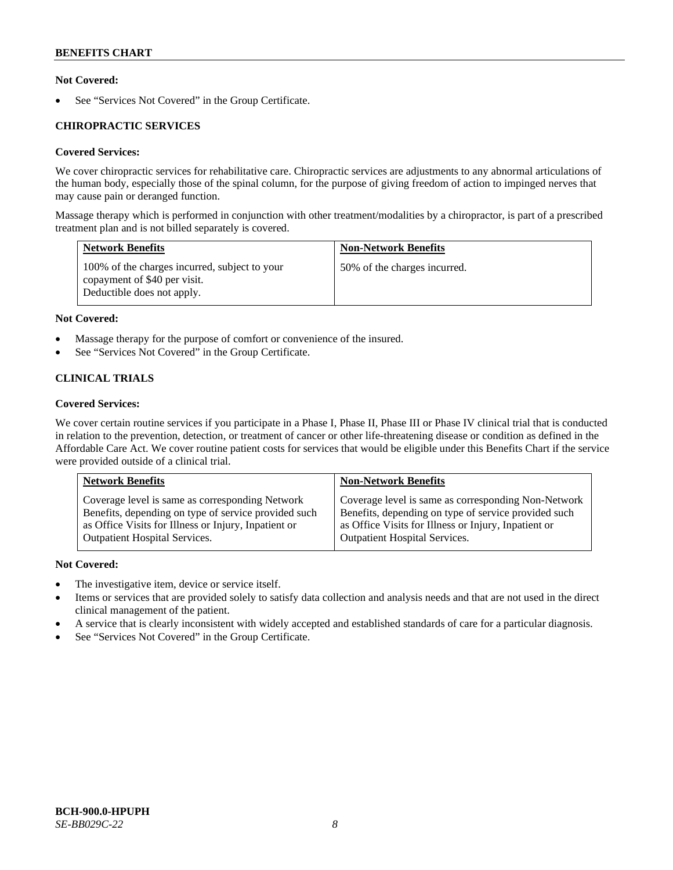# **Not Covered:**

See "Services Not Covered" in the Group Certificate.

# **CHIROPRACTIC SERVICES**

# **Covered Services:**

We cover chiropractic services for rehabilitative care. Chiropractic services are adjustments to any abnormal articulations of the human body, especially those of the spinal column, for the purpose of giving freedom of action to impinged nerves that may cause pain or deranged function.

Massage therapy which is performed in conjunction with other treatment/modalities by a chiropractor, is part of a prescribed treatment plan and is not billed separately is covered.

| <b>Network Benefits</b>                                                                                     | <b>Non-Network Benefits</b>  |
|-------------------------------------------------------------------------------------------------------------|------------------------------|
| 100% of the charges incurred, subject to your<br>copayment of \$40 per visit.<br>Deductible does not apply. | 50% of the charges incurred. |

# **Not Covered:**

- Massage therapy for the purpose of comfort or convenience of the insured.
- See "Services Not Covered" in the Group Certificate.

# **CLINICAL TRIALS**

# **Covered Services:**

We cover certain routine services if you participate in a Phase I, Phase II, Phase III or Phase IV clinical trial that is conducted in relation to the prevention, detection, or treatment of cancer or other life-threatening disease or condition as defined in the Affordable Care Act. We cover routine patient costs for services that would be eligible under this Benefits Chart if the service were provided outside of a clinical trial.

| <b>Network Benefits</b>                              | <b>Non-Network Benefits</b>                          |
|------------------------------------------------------|------------------------------------------------------|
| Coverage level is same as corresponding Network      | Coverage level is same as corresponding Non-Network  |
| Benefits, depending on type of service provided such | Benefits, depending on type of service provided such |
| as Office Visits for Illness or Injury, Inpatient or | as Office Visits for Illness or Injury, Inpatient or |
| <b>Outpatient Hospital Services.</b>                 | <b>Outpatient Hospital Services.</b>                 |

# **Not Covered:**

- The investigative item, device or service itself.
- Items or services that are provided solely to satisfy data collection and analysis needs and that are not used in the direct clinical management of the patient.
- A service that is clearly inconsistent with widely accepted and established standards of care for a particular diagnosis.
- See "Services Not Covered" in the Group Certificate.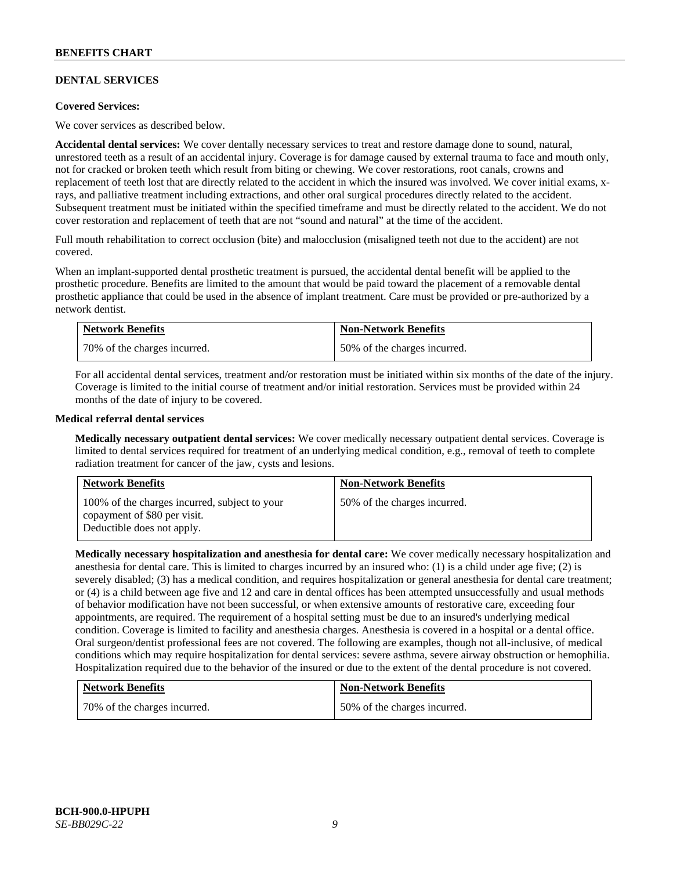# **DENTAL SERVICES**

### **Covered Services:**

We cover services as described below.

**Accidental dental services:** We cover dentally necessary services to treat and restore damage done to sound, natural, unrestored teeth as a result of an accidental injury. Coverage is for damage caused by external trauma to face and mouth only, not for cracked or broken teeth which result from biting or chewing. We cover restorations, root canals, crowns and replacement of teeth lost that are directly related to the accident in which the insured was involved. We cover initial exams, xrays, and palliative treatment including extractions, and other oral surgical procedures directly related to the accident. Subsequent treatment must be initiated within the specified timeframe and must be directly related to the accident. We do not cover restoration and replacement of teeth that are not "sound and natural" at the time of the accident.

Full mouth rehabilitation to correct occlusion (bite) and malocclusion (misaligned teeth not due to the accident) are not covered.

When an implant-supported dental prosthetic treatment is pursued, the accidental dental benefit will be applied to the prosthetic procedure. Benefits are limited to the amount that would be paid toward the placement of a removable dental prosthetic appliance that could be used in the absence of implant treatment. Care must be provided or pre-authorized by a network dentist.

| <b>Network Benefits</b>      | <b>Non-Network Benefits</b>  |
|------------------------------|------------------------------|
| 70% of the charges incurred. | 50% of the charges incurred. |

For all accidental dental services, treatment and/or restoration must be initiated within six months of the date of the injury. Coverage is limited to the initial course of treatment and/or initial restoration. Services must be provided within 24 months of the date of injury to be covered.

### **Medical referral dental services**

**Medically necessary outpatient dental services:** We cover medically necessary outpatient dental services. Coverage is limited to dental services required for treatment of an underlying medical condition, e.g., removal of teeth to complete radiation treatment for cancer of the jaw, cysts and lesions.

| <b>Network Benefits</b>                                                                                     | <b>Non-Network Benefits</b>  |
|-------------------------------------------------------------------------------------------------------------|------------------------------|
| 100% of the charges incurred, subject to your<br>copayment of \$80 per visit.<br>Deductible does not apply. | 50% of the charges incurred. |

**Medically necessary hospitalization and anesthesia for dental care:** We cover medically necessary hospitalization and anesthesia for dental care. This is limited to charges incurred by an insured who: (1) is a child under age five; (2) is severely disabled; (3) has a medical condition, and requires hospitalization or general anesthesia for dental care treatment; or (4) is a child between age five and 12 and care in dental offices has been attempted unsuccessfully and usual methods of behavior modification have not been successful, or when extensive amounts of restorative care, exceeding four appointments, are required. The requirement of a hospital setting must be due to an insured's underlying medical condition. Coverage is limited to facility and anesthesia charges. Anesthesia is covered in a hospital or a dental office. Oral surgeon/dentist professional fees are not covered. The following are examples, though not all-inclusive, of medical conditions which may require hospitalization for dental services: severe asthma, severe airway obstruction or hemophilia. Hospitalization required due to the behavior of the insured or due to the extent of the dental procedure is not covered.

| <b>Network Benefits</b>      | <b>Non-Network Benefits</b>  |
|------------------------------|------------------------------|
| 70% of the charges incurred. | 50% of the charges incurred. |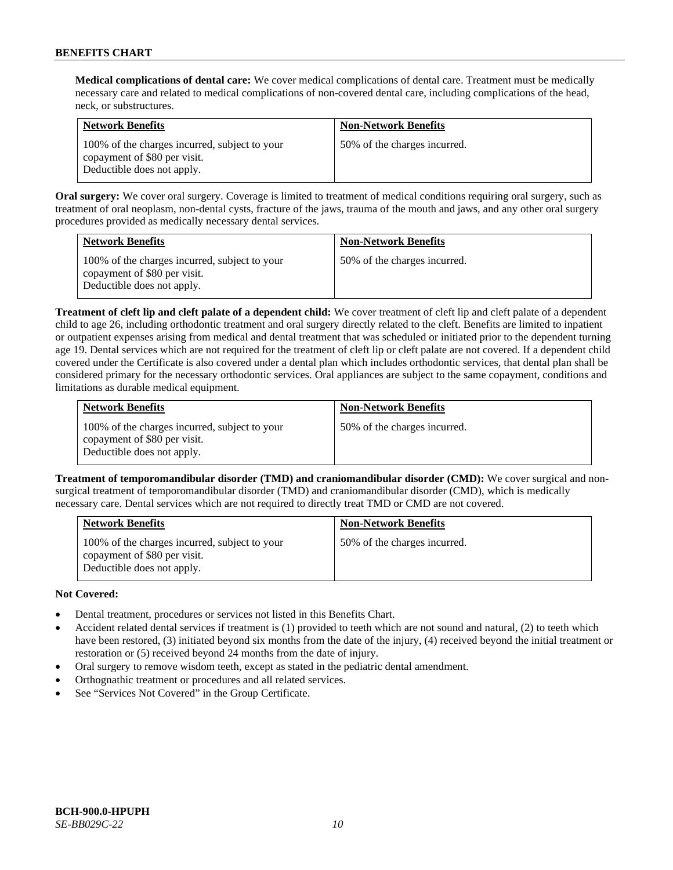**Medical complications of dental care:** We cover medical complications of dental care. Treatment must be medically necessary care and related to medical complications of non-covered dental care, including complications of the head, neck, or substructures.

| <b>Network Benefits</b>                                                                                     | <b>Non-Network Benefits</b>  |
|-------------------------------------------------------------------------------------------------------------|------------------------------|
| 100% of the charges incurred, subject to your<br>copayment of \$80 per visit.<br>Deductible does not apply. | 50% of the charges incurred. |

**Oral surgery:** We cover oral surgery. Coverage is limited to treatment of medical conditions requiring oral surgery, such as treatment of oral neoplasm, non-dental cysts, fracture of the jaws, trauma of the mouth and jaws, and any other oral surgery procedures provided as medically necessary dental services.

| <b>Network Benefits</b>                                                                                     | <b>Non-Network Benefits</b>  |
|-------------------------------------------------------------------------------------------------------------|------------------------------|
| 100% of the charges incurred, subject to your<br>copayment of \$80 per visit.<br>Deductible does not apply. | 50% of the charges incurred. |

**Treatment of cleft lip and cleft palate of a dependent child:** We cover treatment of cleft lip and cleft palate of a dependent child to age 26, including orthodontic treatment and oral surgery directly related to the cleft. Benefits are limited to inpatient or outpatient expenses arising from medical and dental treatment that was scheduled or initiated prior to the dependent turning age 19. Dental services which are not required for the treatment of cleft lip or cleft palate are not covered. If a dependent child covered under the Certificate is also covered under a dental plan which includes orthodontic services, that dental plan shall be considered primary for the necessary orthodontic services. Oral appliances are subject to the same copayment, conditions and limitations as durable medical equipment.

| <b>Network Benefits</b>                                                                                     | <b>Non-Network Benefits</b>  |
|-------------------------------------------------------------------------------------------------------------|------------------------------|
| 100% of the charges incurred, subject to your<br>copayment of \$80 per visit.<br>Deductible does not apply. | 50% of the charges incurred. |

**Treatment of temporomandibular disorder (TMD) and craniomandibular disorder (CMD):** We cover surgical and nonsurgical treatment of temporomandibular disorder (TMD) and craniomandibular disorder (CMD), which is medically necessary care. Dental services which are not required to directly treat TMD or CMD are not covered.

| <b>Network Benefits</b>                                                                                     | <b>Non-Network Benefits</b>  |
|-------------------------------------------------------------------------------------------------------------|------------------------------|
| 100% of the charges incurred, subject to your<br>copayment of \$80 per visit.<br>Deductible does not apply. | 50% of the charges incurred. |

# **Not Covered:**

- Dental treatment, procedures or services not listed in this Benefits Chart.
- Accident related dental services if treatment is (1) provided to teeth which are not sound and natural, (2) to teeth which have been restored, (3) initiated beyond six months from the date of the injury, (4) received beyond the initial treatment or restoration or (5) received beyond 24 months from the date of injury.
- Oral surgery to remove wisdom teeth, except as stated in the pediatric dental amendment.
- Orthognathic treatment or procedures and all related services.
- See "Services Not Covered" in the Group Certificate.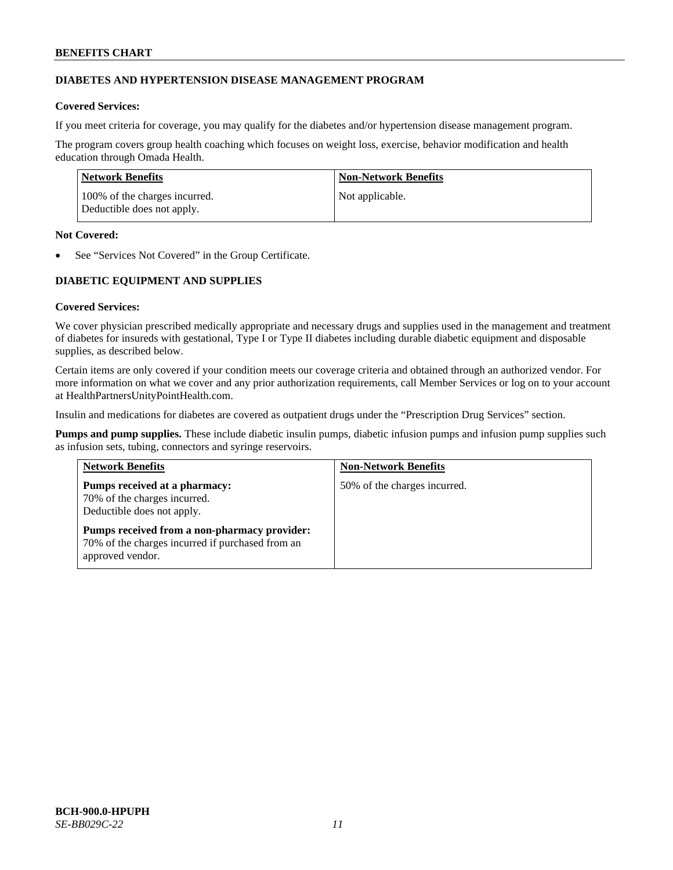# **DIABETES AND HYPERTENSION DISEASE MANAGEMENT PROGRAM**

# **Covered Services:**

If you meet criteria for coverage, you may qualify for the diabetes and/or hypertension disease management program.

The program covers group health coaching which focuses on weight loss, exercise, behavior modification and health education through Omada Health.

| Network Benefits                                            | <b>Non-Network Benefits</b> |
|-------------------------------------------------------------|-----------------------------|
| 100% of the charges incurred.<br>Deductible does not apply. | Not applicable.             |

### **Not Covered:**

See "Services Not Covered" in the Group Certificate.

# **DIABETIC EQUIPMENT AND SUPPLIES**

# **Covered Services:**

We cover physician prescribed medically appropriate and necessary drugs and supplies used in the management and treatment of diabetes for insureds with gestational, Type I or Type II diabetes including durable diabetic equipment and disposable supplies, as described below.

Certain items are only covered if your condition meets our coverage criteria and obtained through an authorized vendor. For more information on what we cover and any prior authorization requirements, call Member Services or log on to your account at [HealthPartnersUnityPointHealth.com.](https://www.healthpartnersunitypointhealth.com/)

Insulin and medications for diabetes are covered as outpatient drugs under the "Prescription Drug Services" section.

**Pumps and pump supplies.** These include diabetic insulin pumps, diabetic infusion pumps and infusion pump supplies such as infusion sets, tubing, connectors and syringe reservoirs.

| <b>Network Benefits</b>                                                                                              | <b>Non-Network Benefits</b>  |
|----------------------------------------------------------------------------------------------------------------------|------------------------------|
| Pumps received at a pharmacy:<br>70% of the charges incurred.<br>Deductible does not apply.                          | 50% of the charges incurred. |
| Pumps received from a non-pharmacy provider:<br>70% of the charges incurred if purchased from an<br>approved vendor. |                              |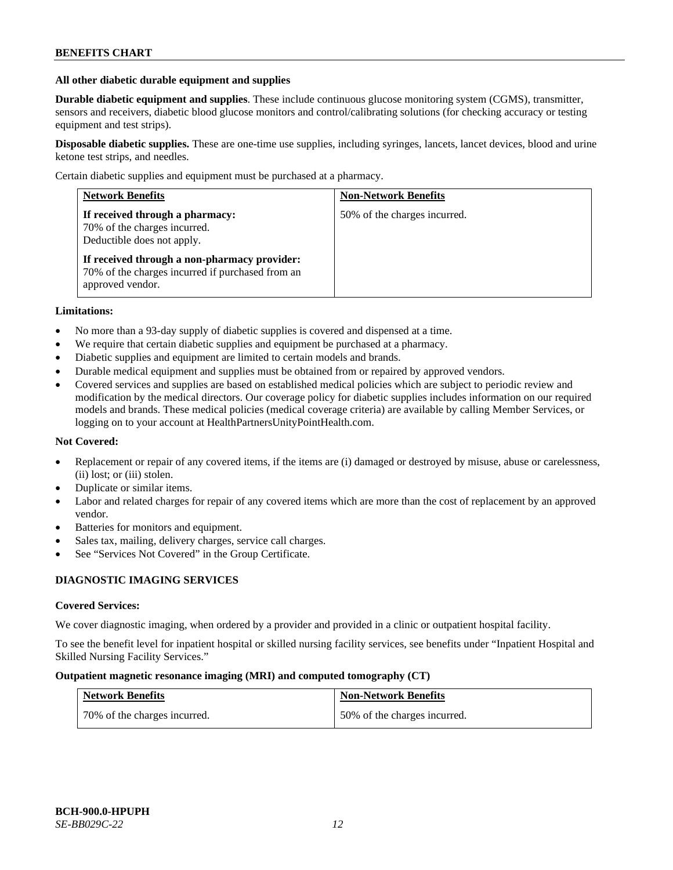### **All other diabetic durable equipment and supplies**

**Durable diabetic equipment and supplies**. These include continuous glucose monitoring system (CGMS), transmitter, sensors and receivers, diabetic blood glucose monitors and control/calibrating solutions (for checking accuracy or testing equipment and test strips).

**Disposable diabetic supplies.** These are one-time use supplies, including syringes, lancets, lancet devices, blood and urine ketone test strips, and needles.

Certain diabetic supplies and equipment must be purchased at a pharmacy.

| <b>Network Benefits</b>                                                                                              | <b>Non-Network Benefits</b>  |
|----------------------------------------------------------------------------------------------------------------------|------------------------------|
| If received through a pharmacy:<br>70% of the charges incurred.<br>Deductible does not apply.                        | 50% of the charges incurred. |
| If received through a non-pharmacy provider:<br>70% of the charges incurred if purchased from an<br>approved vendor. |                              |

### **Limitations:**

- No more than a 93-day supply of diabetic supplies is covered and dispensed at a time.
- We require that certain diabetic supplies and equipment be purchased at a pharmacy.
- Diabetic supplies and equipment are limited to certain models and brands.
- Durable medical equipment and supplies must be obtained from or repaired by approved vendors.
- Covered services and supplies are based on established medical policies which are subject to periodic review and modification by the medical directors. Our coverage policy for diabetic supplies includes information on our required models and brands. These medical policies (medical coverage criteria) are available by calling Member Services, or logging on to your account a[t HealthPartnersUnityPointHealth.com.](https://www.healthpartnersunitypointhealth.com/)

# **Not Covered:**

- Replacement or repair of any covered items, if the items are (i) damaged or destroyed by misuse, abuse or carelessness, (ii) lost; or (iii) stolen.
- Duplicate or similar items.
- Labor and related charges for repair of any covered items which are more than the cost of replacement by an approved vendor.
- Batteries for monitors and equipment.
- Sales tax, mailing, delivery charges, service call charges.
- See "Services Not Covered" in the Group Certificate.

# **DIAGNOSTIC IMAGING SERVICES**

#### **Covered Services:**

We cover diagnostic imaging, when ordered by a provider and provided in a clinic or outpatient hospital facility.

To see the benefit level for inpatient hospital or skilled nursing facility services, see benefits under "Inpatient Hospital and Skilled Nursing Facility Services."

### **Outpatient magnetic resonance imaging (MRI) and computed tomography (CT)**

| <b>Network Benefits</b>      | <b>Non-Network Benefits</b>  |
|------------------------------|------------------------------|
| 70% of the charges incurred. | 50% of the charges incurred. |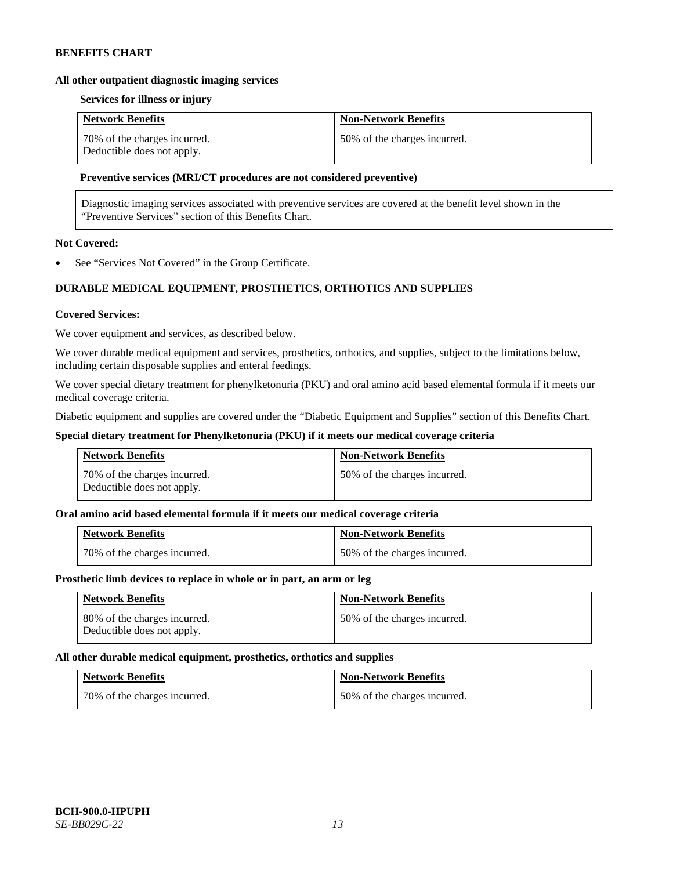### **All other outpatient diagnostic imaging services**

### **Services for illness or injury**

| <b>Network Benefits</b>                                    | <b>Non-Network Benefits</b>  |
|------------------------------------------------------------|------------------------------|
| 70% of the charges incurred.<br>Deductible does not apply. | 50% of the charges incurred. |

### **Preventive services (MRI/CT procedures are not considered preventive)**

Diagnostic imaging services associated with preventive services are covered at the benefit level shown in the "Preventive Services" section of this Benefits Chart.

# **Not Covered:**

See "Services Not Covered" in the Group Certificate.

# **DURABLE MEDICAL EQUIPMENT, PROSTHETICS, ORTHOTICS AND SUPPLIES**

#### **Covered Services:**

We cover equipment and services, as described below.

We cover durable medical equipment and services, prosthetics, orthotics, and supplies, subject to the limitations below, including certain disposable supplies and enteral feedings.

We cover special dietary treatment for phenylketonuria (PKU) and oral amino acid based elemental formula if it meets our medical coverage criteria.

Diabetic equipment and supplies are covered under the "Diabetic Equipment and Supplies" section of this Benefits Chart.

### **Special dietary treatment for Phenylketonuria (PKU) if it meets our medical coverage criteria**

| <b>Network Benefits</b>                                    | <b>Non-Network Benefits</b>  |
|------------------------------------------------------------|------------------------------|
| 70% of the charges incurred.<br>Deductible does not apply. | 50% of the charges incurred. |

### **Oral amino acid based elemental formula if it meets our medical coverage criteria**

| <b>Network Benefits</b>      | <b>Non-Network Benefits</b>  |
|------------------------------|------------------------------|
| 70% of the charges incurred. | 50% of the charges incurred. |

#### **Prosthetic limb devices to replace in whole or in part, an arm or leg**

| <b>Network Benefits</b>                                    | <b>Non-Network Benefits</b>  |
|------------------------------------------------------------|------------------------------|
| 80% of the charges incurred.<br>Deductible does not apply. | 50% of the charges incurred. |

#### **All other durable medical equipment, prosthetics, orthotics and supplies**

| <b>Network Benefits</b>      | <b>Non-Network Benefits</b>  |
|------------------------------|------------------------------|
| 70% of the charges incurred. | 50% of the charges incurred. |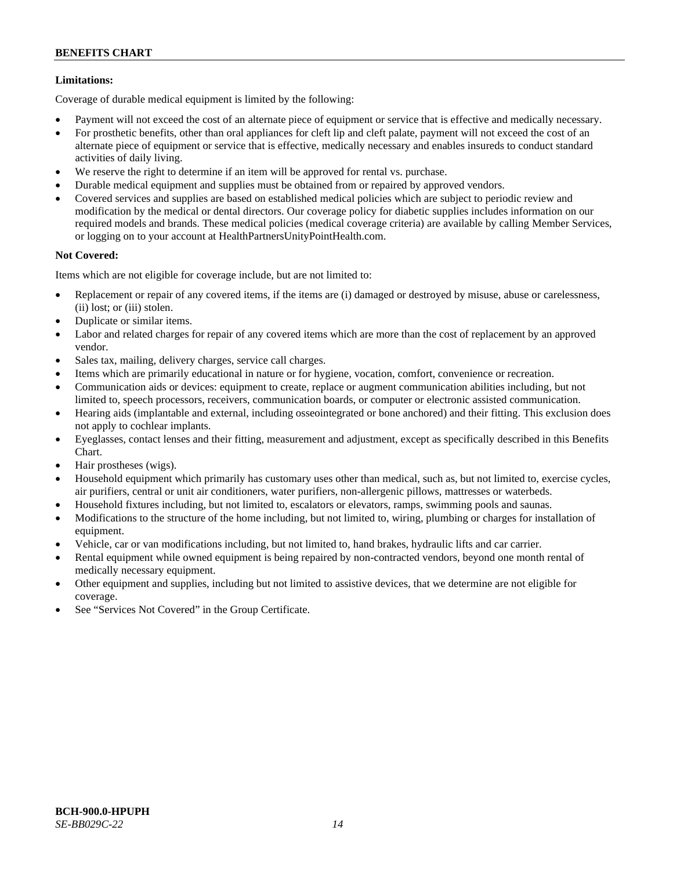# **Limitations:**

Coverage of durable medical equipment is limited by the following:

- Payment will not exceed the cost of an alternate piece of equipment or service that is effective and medically necessary.
- For prosthetic benefits, other than oral appliances for cleft lip and cleft palate, payment will not exceed the cost of an alternate piece of equipment or service that is effective, medically necessary and enables insureds to conduct standard activities of daily living.
- We reserve the right to determine if an item will be approved for rental vs. purchase.
- Durable medical equipment and supplies must be obtained from or repaired by approved vendors.
- Covered services and supplies are based on established medical policies which are subject to periodic review and modification by the medical or dental directors. Our coverage policy for diabetic supplies includes information on our required models and brands. These medical policies (medical coverage criteria) are available by calling Member Services, or logging on to your account at [HealthPartnersUnityPointHealth.com.](https://www.healthpartnersunitypointhealth.com/)

# **Not Covered:**

Items which are not eligible for coverage include, but are not limited to:

- Replacement or repair of any covered items, if the items are (i) damaged or destroyed by misuse, abuse or carelessness, (ii) lost; or (iii) stolen.
- Duplicate or similar items.
- Labor and related charges for repair of any covered items which are more than the cost of replacement by an approved vendor.
- Sales tax, mailing, delivery charges, service call charges.
- Items which are primarily educational in nature or for hygiene, vocation, comfort, convenience or recreation.
- Communication aids or devices: equipment to create, replace or augment communication abilities including, but not limited to, speech processors, receivers, communication boards, or computer or electronic assisted communication.
- Hearing aids (implantable and external, including osseointegrated or bone anchored) and their fitting. This exclusion does not apply to cochlear implants.
- Eyeglasses, contact lenses and their fitting, measurement and adjustment, except as specifically described in this Benefits Chart.
- Hair prostheses (wigs).
- Household equipment which primarily has customary uses other than medical, such as, but not limited to, exercise cycles, air purifiers, central or unit air conditioners, water purifiers, non-allergenic pillows, mattresses or waterbeds.
- Household fixtures including, but not limited to, escalators or elevators, ramps, swimming pools and saunas.
- Modifications to the structure of the home including, but not limited to, wiring, plumbing or charges for installation of equipment.
- Vehicle, car or van modifications including, but not limited to, hand brakes, hydraulic lifts and car carrier.
- Rental equipment while owned equipment is being repaired by non-contracted vendors, beyond one month rental of medically necessary equipment.
- Other equipment and supplies, including but not limited to assistive devices, that we determine are not eligible for coverage.
- See "Services Not Covered" in the Group Certificate.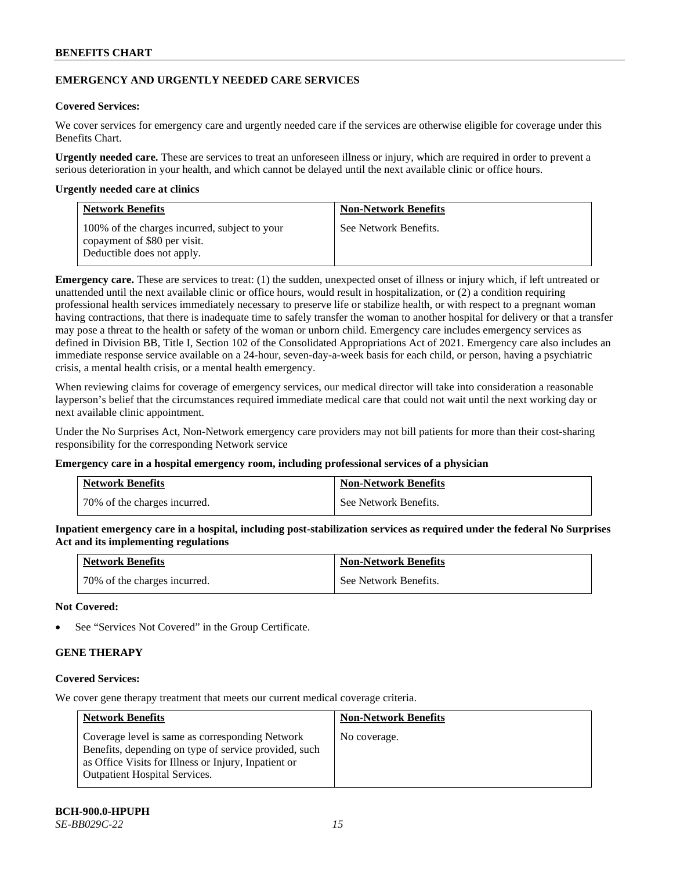# **EMERGENCY AND URGENTLY NEEDED CARE SERVICES**

# **Covered Services:**

We cover services for emergency care and urgently needed care if the services are otherwise eligible for coverage under this Benefits Chart.

**Urgently needed care.** These are services to treat an unforeseen illness or injury, which are required in order to prevent a serious deterioration in your health, and which cannot be delayed until the next available clinic or office hours.

### **Urgently needed care at clinics**

| <b>Network Benefits</b>                                                                                     | <b>Non-Network Benefits</b> |
|-------------------------------------------------------------------------------------------------------------|-----------------------------|
| 100% of the charges incurred, subject to your<br>copayment of \$80 per visit.<br>Deductible does not apply. | See Network Benefits.       |

**Emergency care.** These are services to treat: (1) the sudden, unexpected onset of illness or injury which, if left untreated or unattended until the next available clinic or office hours, would result in hospitalization, or (2) a condition requiring professional health services immediately necessary to preserve life or stabilize health, or with respect to a pregnant woman having contractions, that there is inadequate time to safely transfer the woman to another hospital for delivery or that a transfer may pose a threat to the health or safety of the woman or unborn child. Emergency care includes emergency services as defined in Division BB, Title I, Section 102 of the Consolidated Appropriations Act of 2021. Emergency care also includes an immediate response service available on a 24-hour, seven-day-a-week basis for each child, or person, having a psychiatric crisis, a mental health crisis, or a mental health emergency.

When reviewing claims for coverage of emergency services, our medical director will take into consideration a reasonable layperson's belief that the circumstances required immediate medical care that could not wait until the next working day or next available clinic appointment.

Under the No Surprises Act, Non-Network emergency care providers may not bill patients for more than their cost-sharing responsibility for the corresponding Network service

#### **Emergency care in a hospital emergency room, including professional services of a physician**

| <b>Network Benefits</b>      | <b>Non-Network Benefits</b> |
|------------------------------|-----------------------------|
| 70% of the charges incurred. | See Network Benefits.       |

**Inpatient emergency care in a hospital, including post-stabilization services as required under the federal No Surprises Act and its implementing regulations**

| <b>Network Benefits</b>      | <b>Non-Network Benefits</b> |
|------------------------------|-----------------------------|
| 70% of the charges incurred. | See Network Benefits.       |

### **Not Covered:**

See "Services Not Covered" in the Group Certificate.

# **GENE THERAPY**

# **Covered Services:**

We cover gene therapy treatment that meets our current medical coverage criteria.

| <b>Network Benefits</b>                                                                                                                                                                                  | <b>Non-Network Benefits</b> |
|----------------------------------------------------------------------------------------------------------------------------------------------------------------------------------------------------------|-----------------------------|
| Coverage level is same as corresponding Network<br>Benefits, depending on type of service provided, such<br>as Office Visits for Illness or Injury, Inpatient or<br><b>Outpatient Hospital Services.</b> | No coverage.                |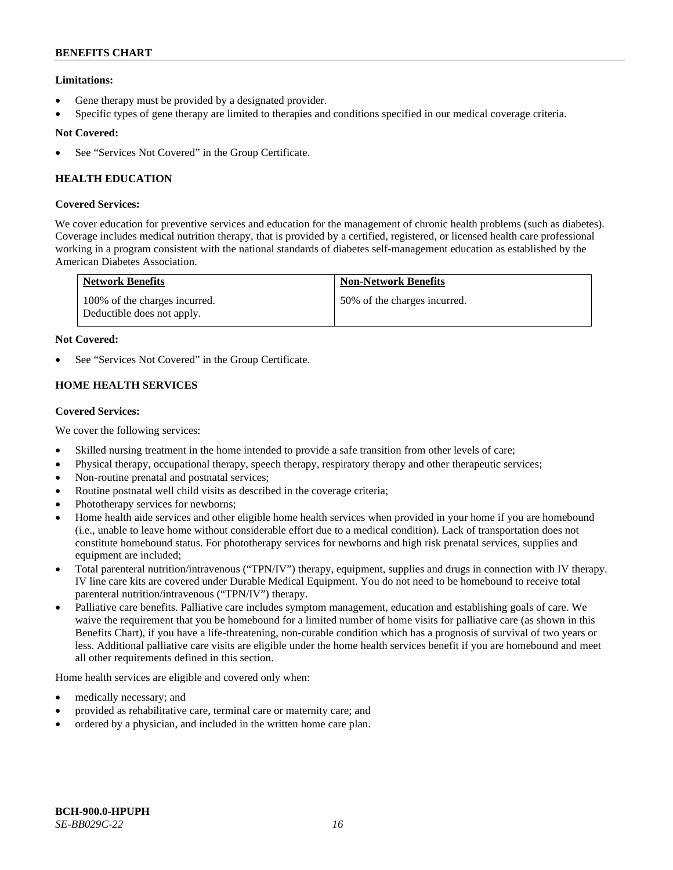# **Limitations:**

- Gene therapy must be provided by a designated provider.
- Specific types of gene therapy are limited to therapies and conditions specified in our medical coverage criteria.

# **Not Covered:**

See "Services Not Covered" in the Group Certificate.

# **HEALTH EDUCATION**

# **Covered Services:**

We cover education for preventive services and education for the management of chronic health problems (such as diabetes). Coverage includes medical nutrition therapy, that is provided by a certified, registered, or licensed health care professional working in a program consistent with the national standards of diabetes self-management education as established by the American Diabetes Association.

| <b>Network Benefits</b>                                     | <b>Non-Network Benefits</b>  |
|-------------------------------------------------------------|------------------------------|
| 100% of the charges incurred.<br>Deductible does not apply. | 50% of the charges incurred. |

### **Not Covered:**

See "Services Not Covered" in the Group Certificate.

# **HOME HEALTH SERVICES**

# **Covered Services:**

We cover the following services:

- Skilled nursing treatment in the home intended to provide a safe transition from other levels of care;
- Physical therapy, occupational therapy, speech therapy, respiratory therapy and other therapeutic services;
- Non-routine prenatal and postnatal services;
- Routine postnatal well child visits as described in the coverage criteria;
- Phototherapy services for newborns;
- Home health aide services and other eligible home health services when provided in your home if you are homebound (i.e., unable to leave home without considerable effort due to a medical condition). Lack of transportation does not constitute homebound status. For phototherapy services for newborns and high risk prenatal services, supplies and equipment are included;
- Total parenteral nutrition/intravenous ("TPN/IV") therapy, equipment, supplies and drugs in connection with IV therapy. IV line care kits are covered under Durable Medical Equipment. You do not need to be homebound to receive total parenteral nutrition/intravenous ("TPN/IV") therapy.
- Palliative care benefits. Palliative care includes symptom management, education and establishing goals of care. We waive the requirement that you be homebound for a limited number of home visits for palliative care (as shown in this Benefits Chart), if you have a life-threatening, non-curable condition which has a prognosis of survival of two years or less. Additional palliative care visits are eligible under the home health services benefit if you are homebound and meet all other requirements defined in this section.

Home health services are eligible and covered only when:

- medically necessary; and
- provided as rehabilitative care, terminal care or maternity care; and
- ordered by a physician, and included in the written home care plan.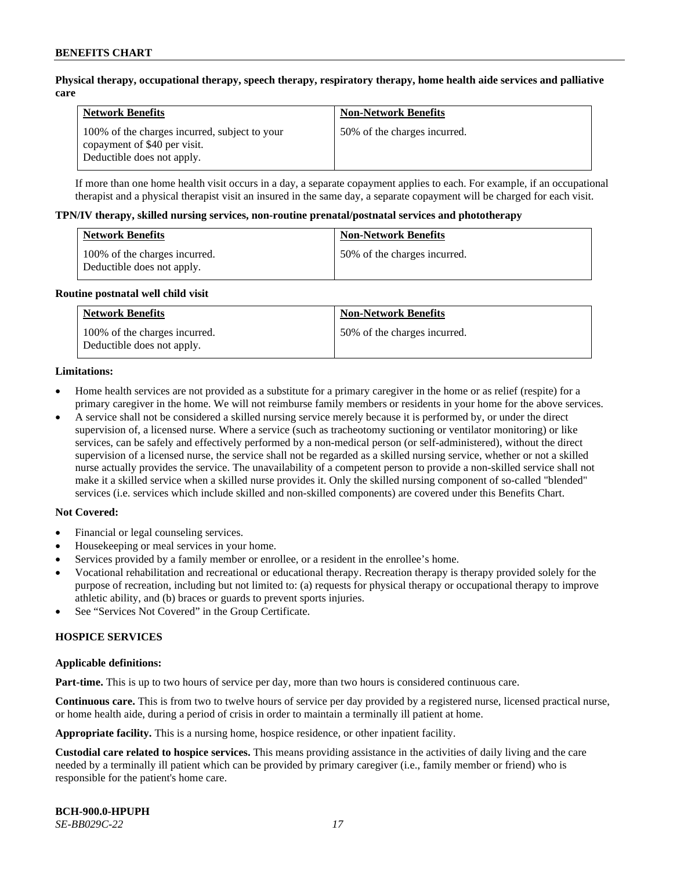### **Physical therapy, occupational therapy, speech therapy, respiratory therapy, home health aide services and palliative care**

| <b>Network Benefits</b>                                                                                     | <b>Non-Network Benefits</b>  |
|-------------------------------------------------------------------------------------------------------------|------------------------------|
| 100% of the charges incurred, subject to your<br>copayment of \$40 per visit.<br>Deductible does not apply. | 50% of the charges incurred. |

If more than one home health visit occurs in a day, a separate copayment applies to each. For example, if an occupational therapist and a physical therapist visit an insured in the same day, a separate copayment will be charged for each visit.

#### **TPN/IV therapy, skilled nursing services, non-routine prenatal/postnatal services and phototherapy**

| <b>Network Benefits</b>                                     | <b>Non-Network Benefits</b>  |
|-------------------------------------------------------------|------------------------------|
| 100% of the charges incurred.<br>Deductible does not apply. | 50% of the charges incurred. |

#### **Routine postnatal well child visit**

| <b>Network Benefits</b>                                     | <b>Non-Network Benefits</b>  |
|-------------------------------------------------------------|------------------------------|
| 100% of the charges incurred.<br>Deductible does not apply. | 50% of the charges incurred. |

#### **Limitations:**

- Home health services are not provided as a substitute for a primary caregiver in the home or as relief (respite) for a primary caregiver in the home. We will not reimburse family members or residents in your home for the above services.
- A service shall not be considered a skilled nursing service merely because it is performed by, or under the direct supervision of, a licensed nurse. Where a service (such as tracheotomy suctioning or ventilator monitoring) or like services, can be safely and effectively performed by a non-medical person (or self-administered), without the direct supervision of a licensed nurse, the service shall not be regarded as a skilled nursing service, whether or not a skilled nurse actually provides the service. The unavailability of a competent person to provide a non-skilled service shall not make it a skilled service when a skilled nurse provides it. Only the skilled nursing component of so-called "blended" services (i.e. services which include skilled and non-skilled components) are covered under this Benefits Chart.

#### **Not Covered:**

- Financial or legal counseling services.
- Housekeeping or meal services in your home.
- Services provided by a family member or enrollee, or a resident in the enrollee's home.
- Vocational rehabilitation and recreational or educational therapy. Recreation therapy is therapy provided solely for the purpose of recreation, including but not limited to: (a) requests for physical therapy or occupational therapy to improve athletic ability, and (b) braces or guards to prevent sports injuries.
- See "Services Not Covered" in the Group Certificate.

# **HOSPICE SERVICES**

#### **Applicable definitions:**

**Part-time.** This is up to two hours of service per day, more than two hours is considered continuous care.

**Continuous care.** This is from two to twelve hours of service per day provided by a registered nurse, licensed practical nurse, or home health aide, during a period of crisis in order to maintain a terminally ill patient at home.

**Appropriate facility.** This is a nursing home, hospice residence, or other inpatient facility.

**Custodial care related to hospice services.** This means providing assistance in the activities of daily living and the care needed by a terminally ill patient which can be provided by primary caregiver (i.e., family member or friend) who is responsible for the patient's home care.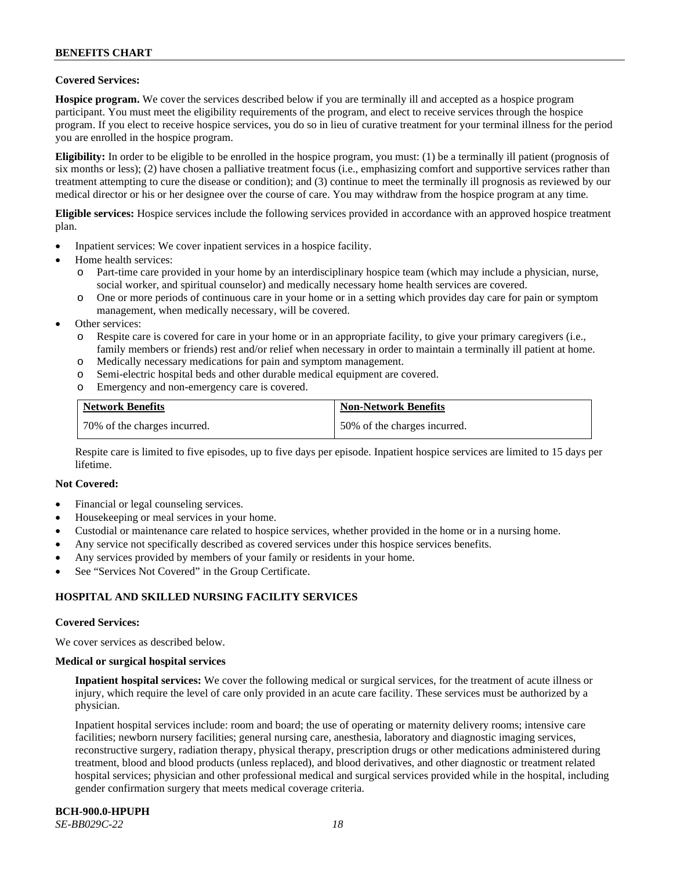# **Covered Services:**

**Hospice program.** We cover the services described below if you are terminally ill and accepted as a hospice program participant. You must meet the eligibility requirements of the program, and elect to receive services through the hospice program. If you elect to receive hospice services, you do so in lieu of curative treatment for your terminal illness for the period you are enrolled in the hospice program.

**Eligibility:** In order to be eligible to be enrolled in the hospice program, you must: (1) be a terminally ill patient (prognosis of six months or less); (2) have chosen a palliative treatment focus (i.e., emphasizing comfort and supportive services rather than treatment attempting to cure the disease or condition); and (3) continue to meet the terminally ill prognosis as reviewed by our medical director or his or her designee over the course of care. You may withdraw from the hospice program at any time.

**Eligible services:** Hospice services include the following services provided in accordance with an approved hospice treatment plan.

- Inpatient services: We cover inpatient services in a hospice facility.
- Home health services:
	- o Part-time care provided in your home by an interdisciplinary hospice team (which may include a physician, nurse, social worker, and spiritual counselor) and medically necessary home health services are covered.
	- One or more periods of continuous care in your home or in a setting which provides day care for pain or symptom management, when medically necessary, will be covered.
- Other services:
	- o Respite care is covered for care in your home or in an appropriate facility, to give your primary caregivers (i.e., family members or friends) rest and/or relief when necessary in order to maintain a terminally ill patient at home.
	- o Medically necessary medications for pain and symptom management.
	- o Semi-electric hospital beds and other durable medical equipment are covered.
	- o Emergency and non-emergency care is covered.

| <b>Network Benefits</b>      | <b>Non-Network Benefits</b>  |
|------------------------------|------------------------------|
| 70% of the charges incurred. | 50% of the charges incurred. |

Respite care is limited to five episodes, up to five days per episode. Inpatient hospice services are limited to 15 days per lifetime.

#### **Not Covered:**

- Financial or legal counseling services.
- Housekeeping or meal services in your home.
- Custodial or maintenance care related to hospice services, whether provided in the home or in a nursing home.
- Any service not specifically described as covered services under this hospice services benefits.
- Any services provided by members of your family or residents in your home.
- See "Services Not Covered" in the Group Certificate.

# **HOSPITAL AND SKILLED NURSING FACILITY SERVICES**

#### **Covered Services:**

We cover services as described below.

#### **Medical or surgical hospital services**

**Inpatient hospital services:** We cover the following medical or surgical services, for the treatment of acute illness or injury, which require the level of care only provided in an acute care facility. These services must be authorized by a physician.

Inpatient hospital services include: room and board; the use of operating or maternity delivery rooms; intensive care facilities; newborn nursery facilities; general nursing care, anesthesia, laboratory and diagnostic imaging services, reconstructive surgery, radiation therapy, physical therapy, prescription drugs or other medications administered during treatment, blood and blood products (unless replaced), and blood derivatives, and other diagnostic or treatment related hospital services; physician and other professional medical and surgical services provided while in the hospital, including gender confirmation surgery that meets medical coverage criteria.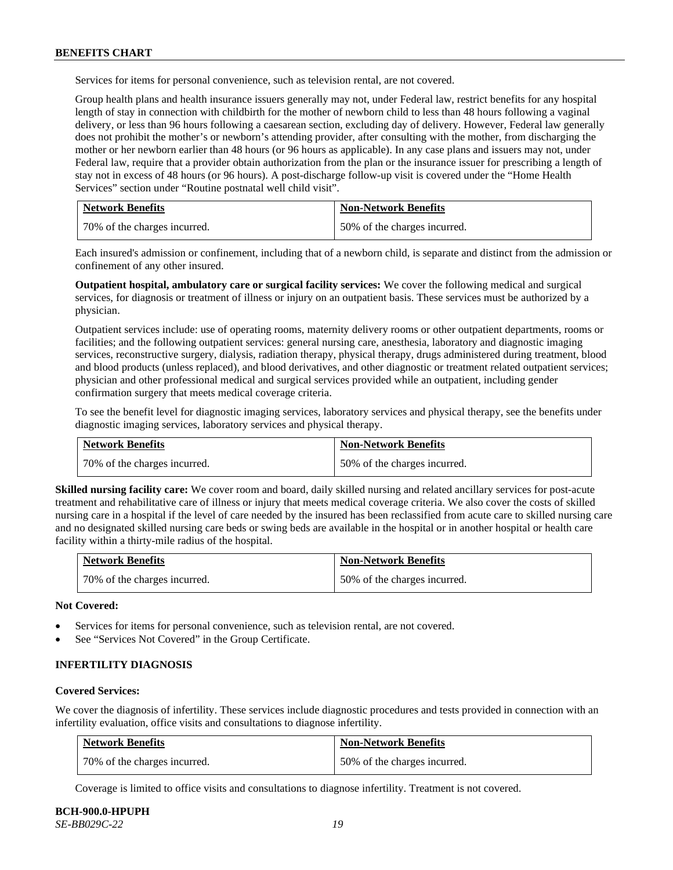Services for items for personal convenience, such as television rental, are not covered.

Group health plans and health insurance issuers generally may not, under Federal law, restrict benefits for any hospital length of stay in connection with childbirth for the mother of newborn child to less than 48 hours following a vaginal delivery, or less than 96 hours following a caesarean section, excluding day of delivery. However, Federal law generally does not prohibit the mother's or newborn's attending provider, after consulting with the mother, from discharging the mother or her newborn earlier than 48 hours (or 96 hours as applicable). In any case plans and issuers may not, under Federal law, require that a provider obtain authorization from the plan or the insurance issuer for prescribing a length of stay not in excess of 48 hours (or 96 hours). A post-discharge follow-up visit is covered under the "Home Health Services" section under "Routine postnatal well child visit".

| <b>Network Benefits</b>      | <b>Non-Network Benefits</b>  |
|------------------------------|------------------------------|
| 70% of the charges incurred. | 50% of the charges incurred. |

Each insured's admission or confinement, including that of a newborn child, is separate and distinct from the admission or confinement of any other insured.

**Outpatient hospital, ambulatory care or surgical facility services:** We cover the following medical and surgical services, for diagnosis or treatment of illness or injury on an outpatient basis. These services must be authorized by a physician.

Outpatient services include: use of operating rooms, maternity delivery rooms or other outpatient departments, rooms or facilities; and the following outpatient services: general nursing care, anesthesia, laboratory and diagnostic imaging services, reconstructive surgery, dialysis, radiation therapy, physical therapy, drugs administered during treatment, blood and blood products (unless replaced), and blood derivatives, and other diagnostic or treatment related outpatient services; physician and other professional medical and surgical services provided while an outpatient, including gender confirmation surgery that meets medical coverage criteria.

To see the benefit level for diagnostic imaging services, laboratory services and physical therapy, see the benefits under diagnostic imaging services, laboratory services and physical therapy.

| <b>Network Benefits</b>      | <b>Non-Network Benefits</b>  |
|------------------------------|------------------------------|
| 70% of the charges incurred. | 50% of the charges incurred. |

**Skilled nursing facility care:** We cover room and board, daily skilled nursing and related ancillary services for post-acute treatment and rehabilitative care of illness or injury that meets medical coverage criteria. We also cover the costs of skilled nursing care in a hospital if the level of care needed by the insured has been reclassified from acute care to skilled nursing care and no designated skilled nursing care beds or swing beds are available in the hospital or in another hospital or health care facility within a thirty-mile radius of the hospital.

| <b>Network Benefits</b>      | <b>Non-Network Benefits</b>  |
|------------------------------|------------------------------|
| 70% of the charges incurred. | 50% of the charges incurred. |

**Not Covered:**

- Services for items for personal convenience, such as television rental, are not covered.
- See "Services Not Covered" in the Group Certificate.

### **INFERTILITY DIAGNOSIS**

#### **Covered Services:**

We cover the diagnosis of infertility. These services include diagnostic procedures and tests provided in connection with an infertility evaluation, office visits and consultations to diagnose infertility.

| <b>Network Benefits</b>      | <b>Non-Network Benefits</b>  |
|------------------------------|------------------------------|
| 70% of the charges incurred. | 50% of the charges incurred. |

Coverage is limited to office visits and consultations to diagnose infertility. Treatment is not covered.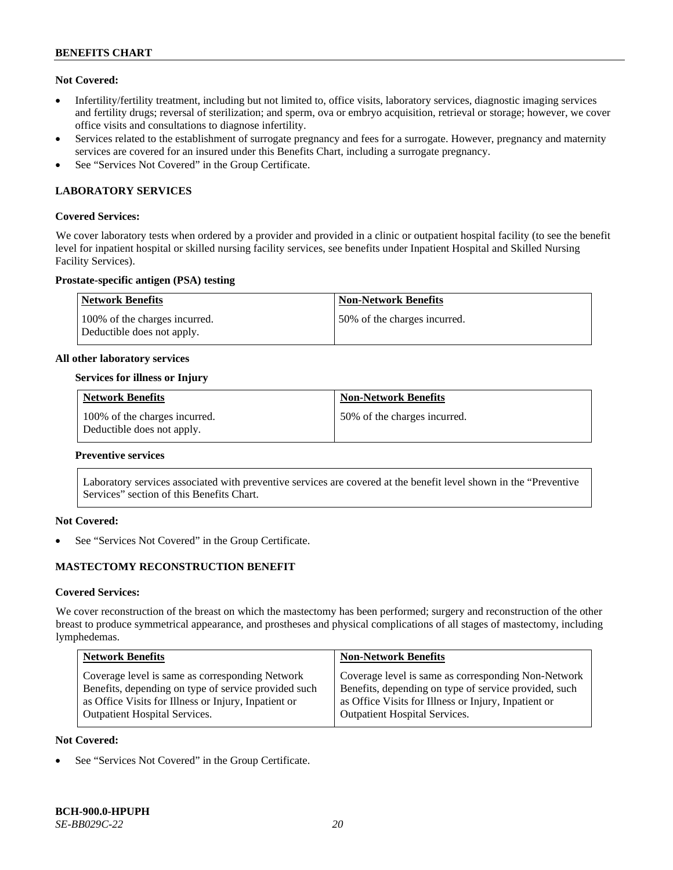### **Not Covered:**

- Infertility/fertility treatment, including but not limited to, office visits, laboratory services, diagnostic imaging services and fertility drugs; reversal of sterilization; and sperm, ova or embryo acquisition, retrieval or storage; however, we cover office visits and consultations to diagnose infertility.
- Services related to the establishment of surrogate pregnancy and fees for a surrogate. However, pregnancy and maternity services are covered for an insured under this Benefits Chart, including a surrogate pregnancy.
- See "Services Not Covered" in the Group Certificate.

# **LABORATORY SERVICES**

#### **Covered Services:**

We cover laboratory tests when ordered by a provider and provided in a clinic or outpatient hospital facility (to see the benefit level for inpatient hospital or skilled nursing facility services, see benefits under Inpatient Hospital and Skilled Nursing Facility Services).

### **Prostate-specific antigen (PSA) testing**

| <b>Network Benefits</b>                                     | <b>Non-Network Benefits</b>  |
|-------------------------------------------------------------|------------------------------|
| 100% of the charges incurred.<br>Deductible does not apply. | 50% of the charges incurred. |

#### **All other laboratory services**

### **Services for illness or Injury**

| <b>Network Benefits</b>                                     | <b>Non-Network Benefits</b>  |
|-------------------------------------------------------------|------------------------------|
| 100% of the charges incurred.<br>Deductible does not apply. | 50% of the charges incurred. |

#### **Preventive services**

Laboratory services associated with preventive services are covered at the benefit level shown in the "Preventive Services" section of this Benefits Chart.

# **Not Covered:**

See "Services Not Covered" in the Group Certificate.

# **MASTECTOMY RECONSTRUCTION BENEFIT**

#### **Covered Services:**

We cover reconstruction of the breast on which the mastectomy has been performed; surgery and reconstruction of the other breast to produce symmetrical appearance, and prostheses and physical complications of all stages of mastectomy, including lymphedemas.

| <b>Non-Network Benefits</b>                                                                                                                                                                                  |
|--------------------------------------------------------------------------------------------------------------------------------------------------------------------------------------------------------------|
| Coverage level is same as corresponding Non-Network<br>Benefits, depending on type of service provided, such<br>as Office Visits for Illness or Injury, Inpatient or<br><b>Outpatient Hospital Services.</b> |
|                                                                                                                                                                                                              |

#### **Not Covered:**

See "Services Not Covered" in the Group Certificate.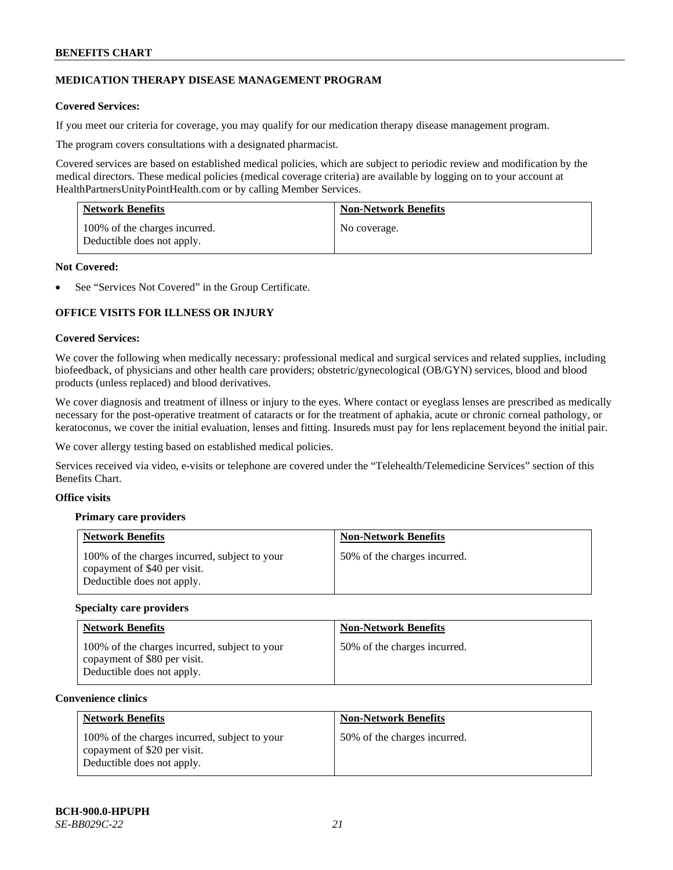# **MEDICATION THERAPY DISEASE MANAGEMENT PROGRAM**

# **Covered Services:**

If you meet our criteria for coverage, you may qualify for our medication therapy disease management program.

The program covers consultations with a designated pharmacist.

Covered services are based on established medical policies, which are subject to periodic review and modification by the medical directors. These medical policies (medical coverage criteria) are available by logging on to your account at [HealthPartnersUnityPointHealth.com](https://www.healthpartnersunitypointhealth.com/) or by calling Member Services.

| <b>Network Benefits</b>                                     | <b>Non-Network Benefits</b> |
|-------------------------------------------------------------|-----------------------------|
| 100% of the charges incurred.<br>Deductible does not apply. | No coverage.                |

### **Not Covered:**

See "Services Not Covered" in the Group Certificate.

# **OFFICE VISITS FOR ILLNESS OR INJURY**

### **Covered Services:**

We cover the following when medically necessary: professional medical and surgical services and related supplies, including biofeedback, of physicians and other health care providers; obstetric/gynecological (OB/GYN) services, blood and blood products (unless replaced) and blood derivatives.

We cover diagnosis and treatment of illness or injury to the eyes. Where contact or eyeglass lenses are prescribed as medically necessary for the post-operative treatment of cataracts or for the treatment of aphakia, acute or chronic corneal pathology, or keratoconus, we cover the initial evaluation, lenses and fitting. Insureds must pay for lens replacement beyond the initial pair.

We cover allergy testing based on established medical policies.

Services received via video, e-visits or telephone are covered under the "Telehealth/Telemedicine Services" section of this Benefits Chart.

# **Office visits**

# **Primary care providers**

| <b>Network Benefits</b>                                                                                     | <b>Non-Network Benefits</b>  |
|-------------------------------------------------------------------------------------------------------------|------------------------------|
| 100% of the charges incurred, subject to your<br>copayment of \$40 per visit.<br>Deductible does not apply. | 50% of the charges incurred. |

#### **Specialty care providers**

| <b>Network Benefits</b>                                                                                     | <b>Non-Network Benefits</b>  |
|-------------------------------------------------------------------------------------------------------------|------------------------------|
| 100% of the charges incurred, subject to your<br>copayment of \$80 per visit.<br>Deductible does not apply. | 50% of the charges incurred. |

#### **Convenience clinics**

| <b>Network Benefits</b>                                                                                     | <b>Non-Network Benefits</b>  |
|-------------------------------------------------------------------------------------------------------------|------------------------------|
| 100% of the charges incurred, subject to your<br>copayment of \$20 per visit.<br>Deductible does not apply. | 50% of the charges incurred. |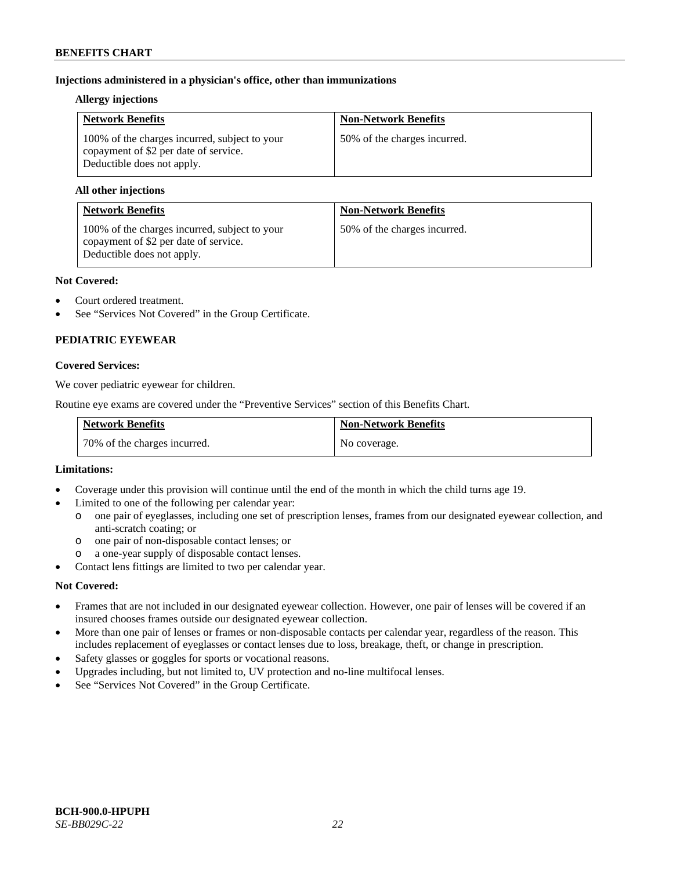# **Injections administered in a physician's office, other than immunizations**

### **Allergy injections**

| <b>Network Benefits</b>                                                                                              | <b>Non-Network Benefits</b>  |
|----------------------------------------------------------------------------------------------------------------------|------------------------------|
| 100% of the charges incurred, subject to your<br>copayment of \$2 per date of service.<br>Deductible does not apply. | 50% of the charges incurred. |

### **All other injections**

| <b>Network Benefits</b>                                                                                              | <b>Non-Network Benefits</b>  |
|----------------------------------------------------------------------------------------------------------------------|------------------------------|
| 100% of the charges incurred, subject to your<br>copayment of \$2 per date of service.<br>Deductible does not apply. | 50% of the charges incurred. |

### **Not Covered:**

- Court ordered treatment.
- See "Services Not Covered" in the Group Certificate.

# **PEDIATRIC EYEWEAR**

### **Covered Services:**

We cover pediatric eyewear for children.

Routine eye exams are covered under the "Preventive Services" section of this Benefits Chart.

| <b>Network Benefits</b>      | <b>Non-Network Benefits</b> |
|------------------------------|-----------------------------|
| 70% of the charges incurred. | No coverage.                |

#### **Limitations:**

- Coverage under this provision will continue until the end of the month in which the child turns age 19.
- Limited to one of the following per calendar year:
	- o one pair of eyeglasses, including one set of prescription lenses, frames from our designated eyewear collection, and anti-scratch coating; or
	- o one pair of non-disposable contact lenses; or
	- a one-year supply of disposable contact lenses.
- Contact lens fittings are limited to two per calendar year.

# **Not Covered:**

- Frames that are not included in our designated eyewear collection. However, one pair of lenses will be covered if an insured chooses frames outside our designated eyewear collection.
- More than one pair of lenses or frames or non-disposable contacts per calendar year, regardless of the reason. This includes replacement of eyeglasses or contact lenses due to loss, breakage, theft, or change in prescription.
- Safety glasses or goggles for sports or vocational reasons.
- Upgrades including, but not limited to, UV protection and no-line multifocal lenses.
- See "Services Not Covered" in the Group Certificate.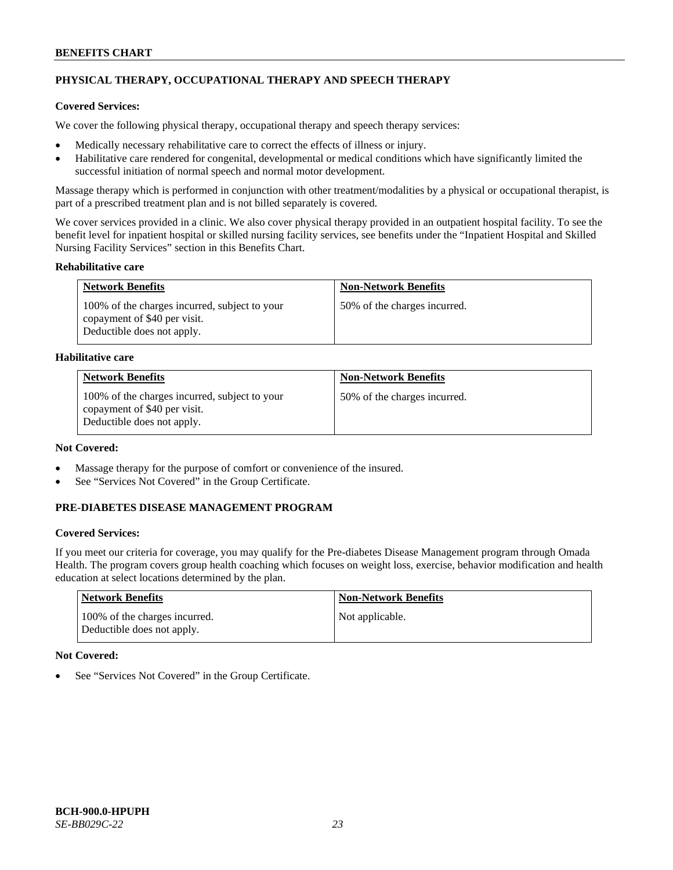# **PHYSICAL THERAPY, OCCUPATIONAL THERAPY AND SPEECH THERAPY**

# **Covered Services:**

We cover the following physical therapy, occupational therapy and speech therapy services:

- Medically necessary rehabilitative care to correct the effects of illness or injury.
- Habilitative care rendered for congenital, developmental or medical conditions which have significantly limited the successful initiation of normal speech and normal motor development.

Massage therapy which is performed in conjunction with other treatment/modalities by a physical or occupational therapist, is part of a prescribed treatment plan and is not billed separately is covered.

We cover services provided in a clinic. We also cover physical therapy provided in an outpatient hospital facility. To see the benefit level for inpatient hospital or skilled nursing facility services, see benefits under the "Inpatient Hospital and Skilled Nursing Facility Services" section in this Benefits Chart.

### **Rehabilitative care**

| <b>Network Benefits</b>                                                                                     | <b>Non-Network Benefits</b>  |
|-------------------------------------------------------------------------------------------------------------|------------------------------|
| 100% of the charges incurred, subject to your<br>copayment of \$40 per visit.<br>Deductible does not apply. | 50% of the charges incurred. |

### **Habilitative care**

| <b>Network Benefits</b>                                                                                     | <b>Non-Network Benefits</b>  |
|-------------------------------------------------------------------------------------------------------------|------------------------------|
| 100% of the charges incurred, subject to your<br>copayment of \$40 per visit.<br>Deductible does not apply. | 50% of the charges incurred. |

# **Not Covered:**

- Massage therapy for the purpose of comfort or convenience of the insured.
- See "Services Not Covered" in the Group Certificate.

# **PRE-DIABETES DISEASE MANAGEMENT PROGRAM**

# **Covered Services:**

If you meet our criteria for coverage, you may qualify for the Pre-diabetes Disease Management program through Omada Health. The program covers group health coaching which focuses on weight loss, exercise, behavior modification and health education at select locations determined by the plan.

| Network Benefits                                            | <b>Non-Network Benefits</b> |
|-------------------------------------------------------------|-----------------------------|
| 100% of the charges incurred.<br>Deductible does not apply. | Not applicable.             |

# **Not Covered:**

See "Services Not Covered" in the Group Certificate.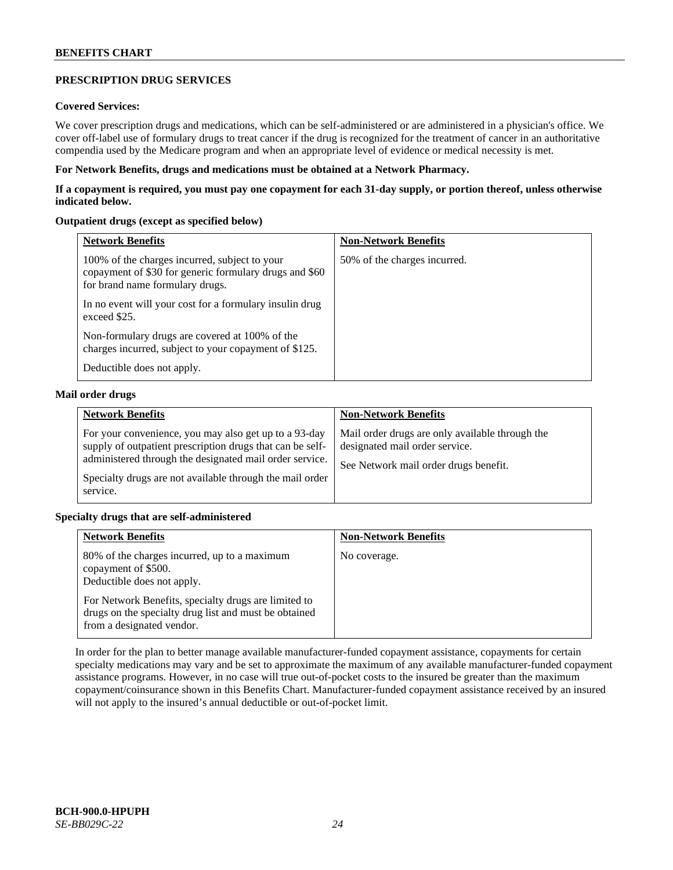# **PRESCRIPTION DRUG SERVICES**

# **Covered Services:**

We cover prescription drugs and medications, which can be self-administered or are administered in a physician's office. We cover off-label use of formulary drugs to treat cancer if the drug is recognized for the treatment of cancer in an authoritative compendia used by the Medicare program and when an appropriate level of evidence or medical necessity is met.

### **For Network Benefits, drugs and medications must be obtained at a Network Pharmacy.**

**If a copayment is required, you must pay one copayment for each 31-day supply, or portion thereof, unless otherwise indicated below.**

### **Outpatient drugs (except as specified below)**

| <b>Network Benefits</b>                                                                                                                    | <b>Non-Network Benefits</b>  |
|--------------------------------------------------------------------------------------------------------------------------------------------|------------------------------|
| 100% of the charges incurred, subject to your<br>copayment of \$30 for generic formulary drugs and \$60<br>for brand name formulary drugs. | 50% of the charges incurred. |
| In no event will your cost for a formulary insulin drug<br>exceed \$25.                                                                    |                              |
| Non-formulary drugs are covered at 100% of the<br>charges incurred, subject to your copayment of \$125.                                    |                              |
| Deductible does not apply.                                                                                                                 |                              |

### **Mail order drugs**

| <b>Network Benefits</b>                                                                                                                                                                                                                               | <b>Non-Network Benefits</b>                                                                                                |
|-------------------------------------------------------------------------------------------------------------------------------------------------------------------------------------------------------------------------------------------------------|----------------------------------------------------------------------------------------------------------------------------|
| For your convenience, you may also get up to a 93-day<br>supply of outpatient prescription drugs that can be self-<br>administered through the designated mail order service.<br>Specialty drugs are not available through the mail order<br>service. | Mail order drugs are only available through the<br>designated mail order service.<br>See Network mail order drugs benefit. |

# **Specialty drugs that are self-administered**

| <b>Network Benefits</b>                                                                                                                    | <b>Non-Network Benefits</b> |
|--------------------------------------------------------------------------------------------------------------------------------------------|-----------------------------|
| 80% of the charges incurred, up to a maximum<br>copayment of \$500.<br>Deductible does not apply.                                          | No coverage.                |
| For Network Benefits, specialty drugs are limited to<br>drugs on the specialty drug list and must be obtained<br>from a designated vendor. |                             |

In order for the plan to better manage available manufacturer-funded copayment assistance, copayments for certain specialty medications may vary and be set to approximate the maximum of any available manufacturer-funded copayment assistance programs. However, in no case will true out-of-pocket costs to the insured be greater than the maximum copayment/coinsurance shown in this Benefits Chart. Manufacturer-funded copayment assistance received by an insured will not apply to the insured's annual deductible or out-of-pocket limit.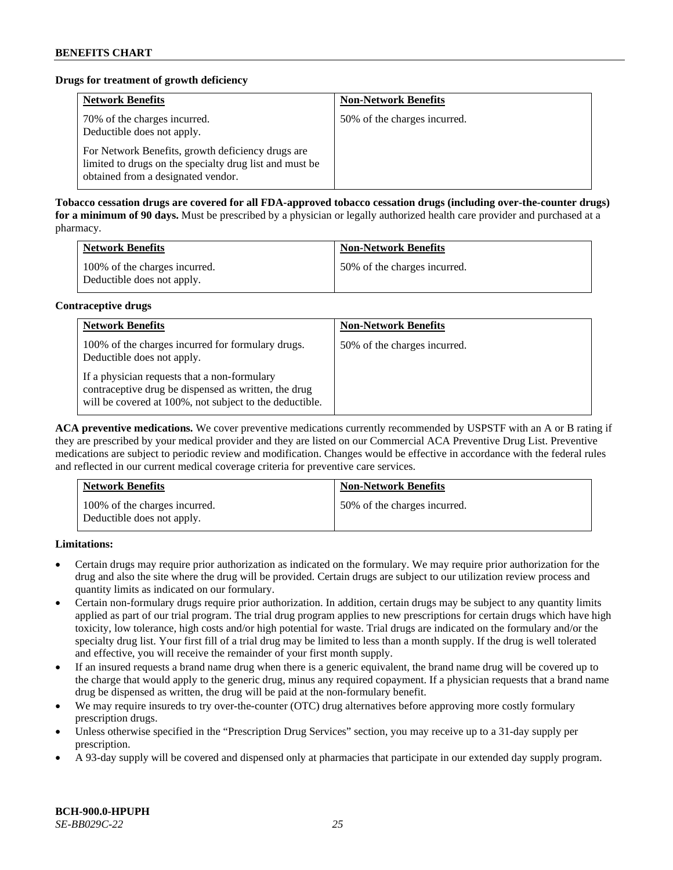# **Drugs for treatment of growth deficiency**

| <b>Network Benefits</b>                                                                                                                            | <b>Non-Network Benefits</b>  |
|----------------------------------------------------------------------------------------------------------------------------------------------------|------------------------------|
| 70% of the charges incurred.<br>Deductible does not apply.                                                                                         | 50% of the charges incurred. |
| For Network Benefits, growth deficiency drugs are<br>limited to drugs on the specialty drug list and must be<br>obtained from a designated vendor. |                              |

**Tobacco cessation drugs are covered for all FDA-approved tobacco cessation drugs (including over-the-counter drugs) for a minimum of 90 days.** Must be prescribed by a physician or legally authorized health care provider and purchased at a pharmacy.

| <b>Network Benefits</b>                                     | <b>Non-Network Benefits</b>  |
|-------------------------------------------------------------|------------------------------|
| 100% of the charges incurred.<br>Deductible does not apply. | 50% of the charges incurred. |

### **Contraceptive drugs**

| <b>Network Benefits</b>                                                                                                                                         | <b>Non-Network Benefits</b>  |
|-----------------------------------------------------------------------------------------------------------------------------------------------------------------|------------------------------|
| 100% of the charges incurred for formulary drugs.<br>Deductible does not apply.                                                                                 | 50% of the charges incurred. |
| If a physician requests that a non-formulary<br>contraceptive drug be dispensed as written, the drug<br>will be covered at 100%, not subject to the deductible. |                              |

**ACA preventive medications.** We cover preventive medications currently recommended by USPSTF with an A or B rating if they are prescribed by your medical provider and they are listed on our Commercial ACA Preventive Drug List. Preventive medications are subject to periodic review and modification. Changes would be effective in accordance with the federal rules and reflected in our current medical coverage criteria for preventive care services.

| <b>Network Benefits</b>                                     | <b>Non-Network Benefits</b>  |
|-------------------------------------------------------------|------------------------------|
| 100% of the charges incurred.<br>Deductible does not apply. | 50% of the charges incurred. |

**Limitations:**

- Certain drugs may require prior authorization as indicated on the formulary. We may require prior authorization for the drug and also the site where the drug will be provided. Certain drugs are subject to our utilization review process and quantity limits as indicated on our formulary.
- Certain non-formulary drugs require prior authorization. In addition, certain drugs may be subject to any quantity limits applied as part of our trial program. The trial drug program applies to new prescriptions for certain drugs which have high toxicity, low tolerance, high costs and/or high potential for waste. Trial drugs are indicated on the formulary and/or the specialty drug list. Your first fill of a trial drug may be limited to less than a month supply. If the drug is well tolerated and effective, you will receive the remainder of your first month supply.
- If an insured requests a brand name drug when there is a generic equivalent, the brand name drug will be covered up to the charge that would apply to the generic drug, minus any required copayment. If a physician requests that a brand name drug be dispensed as written, the drug will be paid at the non-formulary benefit.
- We may require insureds to try over-the-counter (OTC) drug alternatives before approving more costly formulary prescription drugs.
- Unless otherwise specified in the "Prescription Drug Services" section, you may receive up to a 31-day supply per prescription.
- A 93-day supply will be covered and dispensed only at pharmacies that participate in our extended day supply program.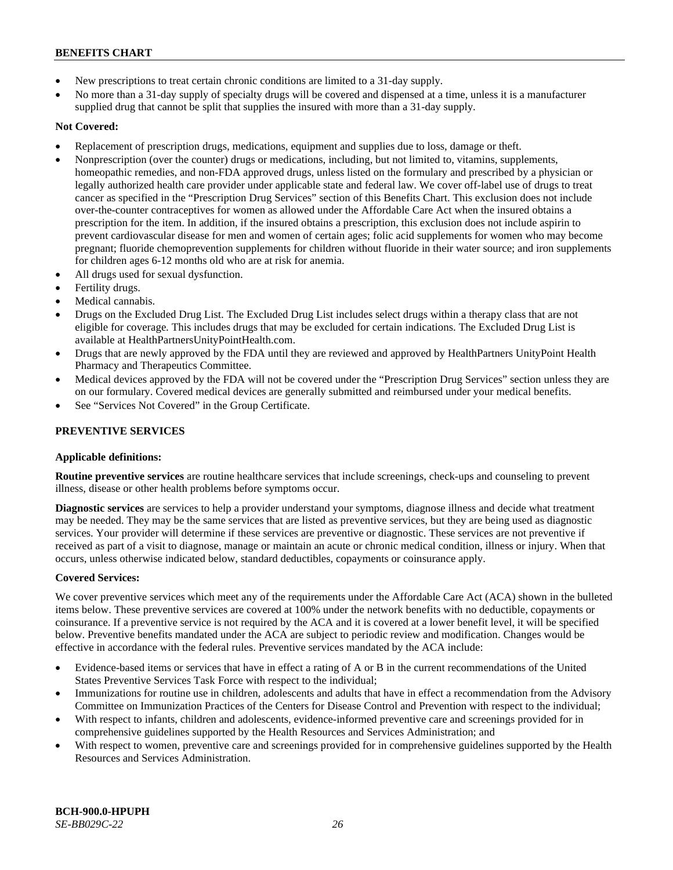- New prescriptions to treat certain chronic conditions are limited to a 31-day supply.
- No more than a 31-day supply of specialty drugs will be covered and dispensed at a time, unless it is a manufacturer supplied drug that cannot be split that supplies the insured with more than a 31-day supply.

# **Not Covered:**

- Replacement of prescription drugs, medications, equipment and supplies due to loss, damage or theft.
- Nonprescription (over the counter) drugs or medications, including, but not limited to, vitamins, supplements, homeopathic remedies, and non-FDA approved drugs, unless listed on the formulary and prescribed by a physician or legally authorized health care provider under applicable state and federal law. We cover off-label use of drugs to treat cancer as specified in the "Prescription Drug Services" section of this Benefits Chart. This exclusion does not include over-the-counter contraceptives for women as allowed under the Affordable Care Act when the insured obtains a prescription for the item. In addition, if the insured obtains a prescription, this exclusion does not include aspirin to prevent cardiovascular disease for men and women of certain ages; folic acid supplements for women who may become pregnant; fluoride chemoprevention supplements for children without fluoride in their water source; and iron supplements for children ages 6-12 months old who are at risk for anemia.
- All drugs used for sexual dysfunction.
- Fertility drugs.
- Medical cannabis.
- Drugs on the Excluded Drug List. The Excluded Drug List includes select drugs within a therapy class that are not eligible for coverage. This includes drugs that may be excluded for certain indications. The Excluded Drug List is available a[t HealthPartnersUnityPointHealth.com.](https://www.healthpartnersunitypointhealth.com/)
- Drugs that are newly approved by the FDA until they are reviewed and approved by HealthPartners UnityPoint Health Pharmacy and Therapeutics Committee.
- Medical devices approved by the FDA will not be covered under the "Prescription Drug Services" section unless they are on our formulary. Covered medical devices are generally submitted and reimbursed under your medical benefits.
- See "Services Not Covered" in the Group Certificate.

# **PREVENTIVE SERVICES**

# **Applicable definitions:**

**Routine preventive services** are routine healthcare services that include screenings, check-ups and counseling to prevent illness, disease or other health problems before symptoms occur.

**Diagnostic services** are services to help a provider understand your symptoms, diagnose illness and decide what treatment may be needed. They may be the same services that are listed as preventive services, but they are being used as diagnostic services. Your provider will determine if these services are preventive or diagnostic. These services are not preventive if received as part of a visit to diagnose, manage or maintain an acute or chronic medical condition, illness or injury. When that occurs, unless otherwise indicated below, standard deductibles, copayments or coinsurance apply.

# **Covered Services:**

We cover preventive services which meet any of the requirements under the Affordable Care Act (ACA) shown in the bulleted items below. These preventive services are covered at 100% under the network benefits with no deductible, copayments or coinsurance. If a preventive service is not required by the ACA and it is covered at a lower benefit level, it will be specified below. Preventive benefits mandated under the ACA are subject to periodic review and modification. Changes would be effective in accordance with the federal rules. Preventive services mandated by the ACA include:

- Evidence-based items or services that have in effect a rating of A or B in the current recommendations of the United States Preventive Services Task Force with respect to the individual;
- Immunizations for routine use in children, adolescents and adults that have in effect a recommendation from the Advisory Committee on Immunization Practices of the Centers for Disease Control and Prevention with respect to the individual;
- With respect to infants, children and adolescents, evidence-informed preventive care and screenings provided for in comprehensive guidelines supported by the Health Resources and Services Administration; and
- With respect to women, preventive care and screenings provided for in comprehensive guidelines supported by the Health Resources and Services Administration.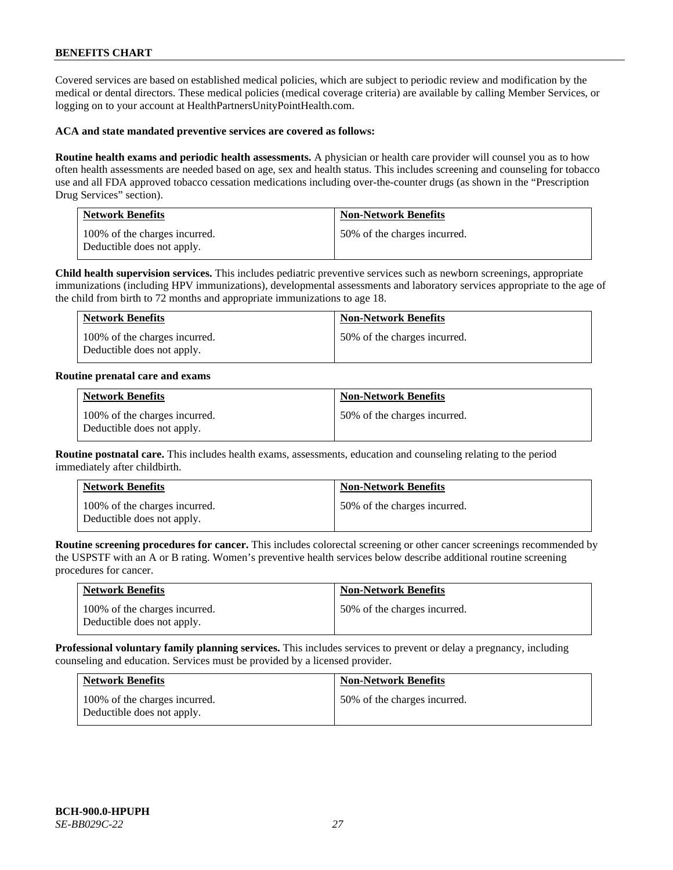Covered services are based on established medical policies, which are subject to periodic review and modification by the medical or dental directors. These medical policies (medical coverage criteria) are available by calling Member Services, or logging on to your account at [HealthPartnersUnityPointHealth.com.](https://www.healthpartnersunitypointhealth.com/)

### **ACA and state mandated preventive services are covered as follows:**

**Routine health exams and periodic health assessments.** A physician or health care provider will counsel you as to how often health assessments are needed based on age, sex and health status. This includes screening and counseling for tobacco use and all FDA approved tobacco cessation medications including over-the-counter drugs (as shown in the "Prescription Drug Services" section).

| <b>Network Benefits</b>                                     | <b>Non-Network Benefits</b>  |
|-------------------------------------------------------------|------------------------------|
| 100% of the charges incurred.<br>Deductible does not apply. | 50% of the charges incurred. |

**Child health supervision services.** This includes pediatric preventive services such as newborn screenings, appropriate immunizations (including HPV immunizations), developmental assessments and laboratory services appropriate to the age of the child from birth to 72 months and appropriate immunizations to age 18.

| <b>Network Benefits</b>                                     | <b>Non-Network Benefits</b>  |
|-------------------------------------------------------------|------------------------------|
| 100% of the charges incurred.<br>Deductible does not apply. | 50% of the charges incurred. |

#### **Routine prenatal care and exams**

| <b>Network Benefits</b>                                     | <b>Non-Network Benefits</b>  |
|-------------------------------------------------------------|------------------------------|
| 100% of the charges incurred.<br>Deductible does not apply. | 50% of the charges incurred. |

**Routine postnatal care.** This includes health exams, assessments, education and counseling relating to the period immediately after childbirth.

| <b>Network Benefits</b>                                     | <b>Non-Network Benefits</b>  |
|-------------------------------------------------------------|------------------------------|
| 100% of the charges incurred.<br>Deductible does not apply. | 50% of the charges incurred. |

**Routine screening procedures for cancer.** This includes colorectal screening or other cancer screenings recommended by the USPSTF with an A or B rating. Women's preventive health services below describe additional routine screening procedures for cancer.

| <b>Network Benefits</b>                                     | <b>Non-Network Benefits</b>  |
|-------------------------------------------------------------|------------------------------|
| 100% of the charges incurred.<br>Deductible does not apply. | 50% of the charges incurred. |

**Professional voluntary family planning services.** This includes services to prevent or delay a pregnancy, including counseling and education. Services must be provided by a licensed provider.

| <b>Network Benefits</b>                                     | <b>Non-Network Benefits</b>  |
|-------------------------------------------------------------|------------------------------|
| 100% of the charges incurred.<br>Deductible does not apply. | 50% of the charges incurred. |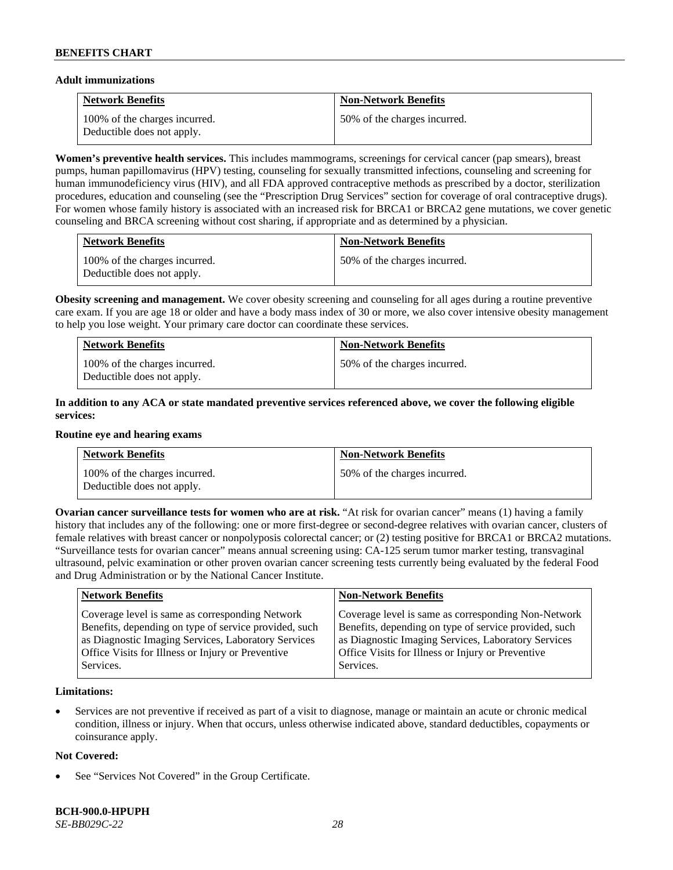### **Adult immunizations**

| <b>Network Benefits</b>                                     | <b>Non-Network Benefits</b>  |
|-------------------------------------------------------------|------------------------------|
| 100% of the charges incurred.<br>Deductible does not apply. | 50% of the charges incurred. |

**Women's preventive health services.** This includes mammograms, screenings for cervical cancer (pap smears), breast pumps, human papillomavirus (HPV) testing, counseling for sexually transmitted infections, counseling and screening for human immunodeficiency virus (HIV), and all FDA approved contraceptive methods as prescribed by a doctor, sterilization procedures, education and counseling (see the "Prescription Drug Services" section for coverage of oral contraceptive drugs). For women whose family history is associated with an increased risk for BRCA1 or BRCA2 gene mutations, we cover genetic counseling and BRCA screening without cost sharing, if appropriate and as determined by a physician.

| <b>Network Benefits</b>                                     | <b>Non-Network Benefits</b>  |
|-------------------------------------------------------------|------------------------------|
| 100% of the charges incurred.<br>Deductible does not apply. | 50% of the charges incurred. |

**Obesity screening and management.** We cover obesity screening and counseling for all ages during a routine preventive care exam. If you are age 18 or older and have a body mass index of 30 or more, we also cover intensive obesity management to help you lose weight. Your primary care doctor can coordinate these services.

| <b>Network Benefits</b>                                     | <b>Non-Network Benefits</b>  |
|-------------------------------------------------------------|------------------------------|
| 100% of the charges incurred.<br>Deductible does not apply. | 50% of the charges incurred. |

# **In addition to any ACA or state mandated preventive services referenced above, we cover the following eligible services:**

#### **Routine eye and hearing exams**

| <b>Network Benefits</b>                                     | <b>Non-Network Benefits</b>  |
|-------------------------------------------------------------|------------------------------|
| 100% of the charges incurred.<br>Deductible does not apply. | 50% of the charges incurred. |

**Ovarian cancer surveillance tests for women who are at risk. "At risk for ovarian cancer" means (1) having a family** history that includes any of the following: one or more first-degree or second-degree relatives with ovarian cancer, clusters of female relatives with breast cancer or nonpolyposis colorectal cancer; or (2) testing positive for BRCA1 or BRCA2 mutations. "Surveillance tests for ovarian cancer" means annual screening using: CA-125 serum tumor marker testing, transvaginal ultrasound, pelvic examination or other proven ovarian cancer screening tests currently being evaluated by the federal Food and Drug Administration or by the National Cancer Institute.

| Coverage level is same as corresponding Non-Network<br>Coverage level is same as corresponding Network<br>Benefits, depending on type of service provided, such<br>Benefits, depending on type of service provided, such<br>as Diagnostic Imaging Services, Laboratory Services<br>as Diagnostic Imaging Services, Laboratory Services<br>Office Visits for Illness or Injury or Preventive<br>Office Visits for Illness or Injury or Preventive | <b>Network Benefits</b> | <b>Non-Network Benefits</b> |
|--------------------------------------------------------------------------------------------------------------------------------------------------------------------------------------------------------------------------------------------------------------------------------------------------------------------------------------------------------------------------------------------------------------------------------------------------|-------------------------|-----------------------------|
|                                                                                                                                                                                                                                                                                                                                                                                                                                                  | Services.               | Services.                   |

# **Limitations:**

• Services are not preventive if received as part of a visit to diagnose, manage or maintain an acute or chronic medical condition, illness or injury. When that occurs, unless otherwise indicated above, standard deductibles, copayments or coinsurance apply.

# **Not Covered:**

See "Services Not Covered" in the Group Certificate.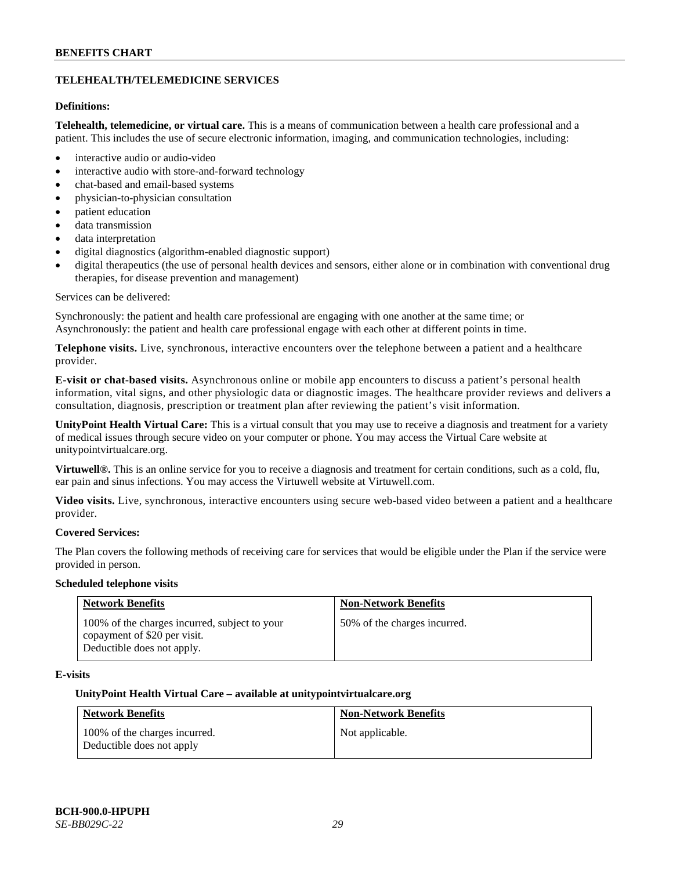# **TELEHEALTH/TELEMEDICINE SERVICES**

# **Definitions:**

**Telehealth, telemedicine, or virtual care.** This is a means of communication between a health care professional and a patient. This includes the use of secure electronic information, imaging, and communication technologies, including:

- interactive audio or audio-video
- interactive audio with store-and-forward technology
- chat-based and email-based systems
- physician-to-physician consultation
- patient education
- data transmission
- data interpretation
- digital diagnostics (algorithm-enabled diagnostic support)
- digital therapeutics (the use of personal health devices and sensors, either alone or in combination with conventional drug therapies, for disease prevention and management)

#### Services can be delivered:

Synchronously: the patient and health care professional are engaging with one another at the same time; or Asynchronously: the patient and health care professional engage with each other at different points in time.

**Telephone visits.** Live, synchronous, interactive encounters over the telephone between a patient and a healthcare provider.

**E-visit or chat-based visits.** Asynchronous online or mobile app encounters to discuss a patient's personal health information, vital signs, and other physiologic data or diagnostic images. The healthcare provider reviews and delivers a consultation, diagnosis, prescription or treatment plan after reviewing the patient's visit information.

**UnityPoint Health Virtual Care:** This is a virtual consult that you may use to receive a diagnosis and treatment for a variety of medical issues through secure video on your computer or phone. You may access the Virtual Care website at [unitypointvirtualcare.org.](https://unitypointvirtualcare.org/landing.htm)

**Virtuwell®.** This is an online service for you to receive a diagnosis and treatment for certain conditions, such as a cold, flu, ear pain and sinus infections. You may access the Virtuwell website at [Virtuwell.com.](https://www.virtuwell.com/)

**Video visits.** Live, synchronous, interactive encounters using secure web-based video between a patient and a healthcare provider.

# **Covered Services:**

The Plan covers the following methods of receiving care for services that would be eligible under the Plan if the service were provided in person.

#### **Scheduled telephone visits**

| <b>Network Benefits</b>                                                                                     | <b>Non-Network Benefits</b>  |
|-------------------------------------------------------------------------------------------------------------|------------------------------|
| 100% of the charges incurred, subject to your<br>copayment of \$20 per visit.<br>Deductible does not apply. | 50% of the charges incurred. |

# **E-visits**

#### **UnityPoint Health Virtual Care – available a[t unitypointvirtualcare.org](http://www.unitypointvirtualcare.org/)**

| <b>Network Benefits</b>                                    | <b>Non-Network Benefits</b> |
|------------------------------------------------------------|-----------------------------|
| 100% of the charges incurred.<br>Deductible does not apply | Not applicable.             |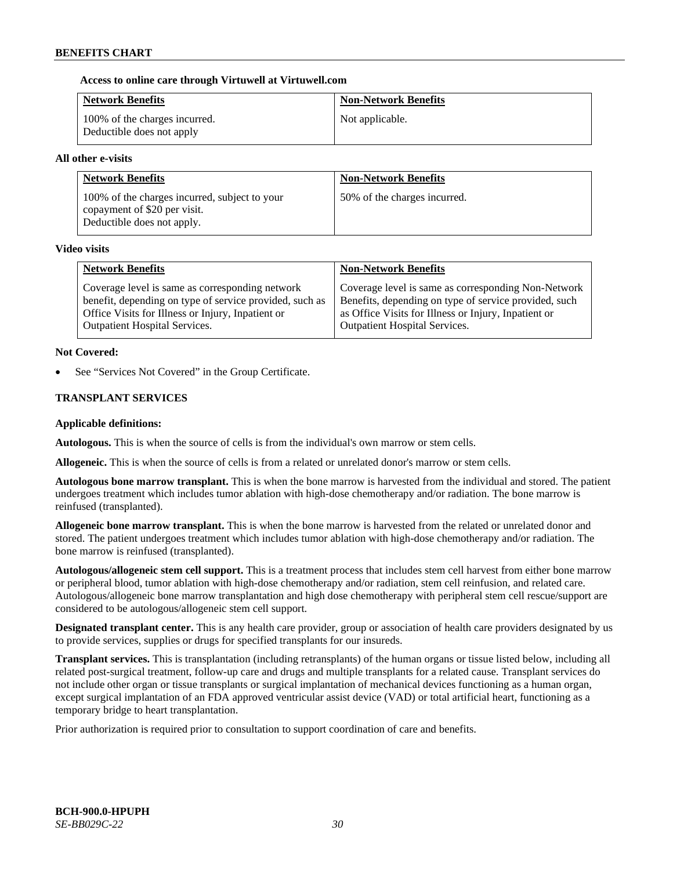### **Access to online care through Virtuwell at [Virtuwell.com](http://www.virtuwell.com/)**

| <b>Network Benefits</b>                                    | <b>Non-Network Benefits</b> |
|------------------------------------------------------------|-----------------------------|
| 100% of the charges incurred.<br>Deductible does not apply | Not applicable.             |

### **All other e-visits**

| <b>Network Benefits</b>                                                                                     | <b>Non-Network Benefits</b>  |
|-------------------------------------------------------------------------------------------------------------|------------------------------|
| 100% of the charges incurred, subject to your<br>copayment of \$20 per visit.<br>Deductible does not apply. | 50% of the charges incurred. |

#### **Video visits**

| <b>Network Benefits</b>                                 | <b>Non-Network Benefits</b>                           |
|---------------------------------------------------------|-------------------------------------------------------|
| Coverage level is same as corresponding network         | Coverage level is same as corresponding Non-Network   |
| benefit, depending on type of service provided, such as | Benefits, depending on type of service provided, such |
| Office Visits for Illness or Injury, Inpatient or       | as Office Visits for Illness or Injury, Inpatient or  |
| <b>Outpatient Hospital Services.</b>                    | <b>Outpatient Hospital Services.</b>                  |

### **Not Covered:**

See "Services Not Covered" in the Group Certificate.

# **TRANSPLANT SERVICES**

### **Applicable definitions:**

**Autologous.** This is when the source of cells is from the individual's own marrow or stem cells.

**Allogeneic.** This is when the source of cells is from a related or unrelated donor's marrow or stem cells.

**Autologous bone marrow transplant.** This is when the bone marrow is harvested from the individual and stored. The patient undergoes treatment which includes tumor ablation with high-dose chemotherapy and/or radiation. The bone marrow is reinfused (transplanted).

**Allogeneic bone marrow transplant.** This is when the bone marrow is harvested from the related or unrelated donor and stored. The patient undergoes treatment which includes tumor ablation with high-dose chemotherapy and/or radiation. The bone marrow is reinfused (transplanted).

**Autologous/allogeneic stem cell support.** This is a treatment process that includes stem cell harvest from either bone marrow or peripheral blood, tumor ablation with high-dose chemotherapy and/or radiation, stem cell reinfusion, and related care. Autologous/allogeneic bone marrow transplantation and high dose chemotherapy with peripheral stem cell rescue/support are considered to be autologous/allogeneic stem cell support.

**Designated transplant center.** This is any health care provider, group or association of health care providers designated by us to provide services, supplies or drugs for specified transplants for our insureds.

**Transplant services.** This is transplantation (including retransplants) of the human organs or tissue listed below, including all related post-surgical treatment, follow-up care and drugs and multiple transplants for a related cause. Transplant services do not include other organ or tissue transplants or surgical implantation of mechanical devices functioning as a human organ, except surgical implantation of an FDA approved ventricular assist device (VAD) or total artificial heart, functioning as a temporary bridge to heart transplantation.

Prior authorization is required prior to consultation to support coordination of care and benefits.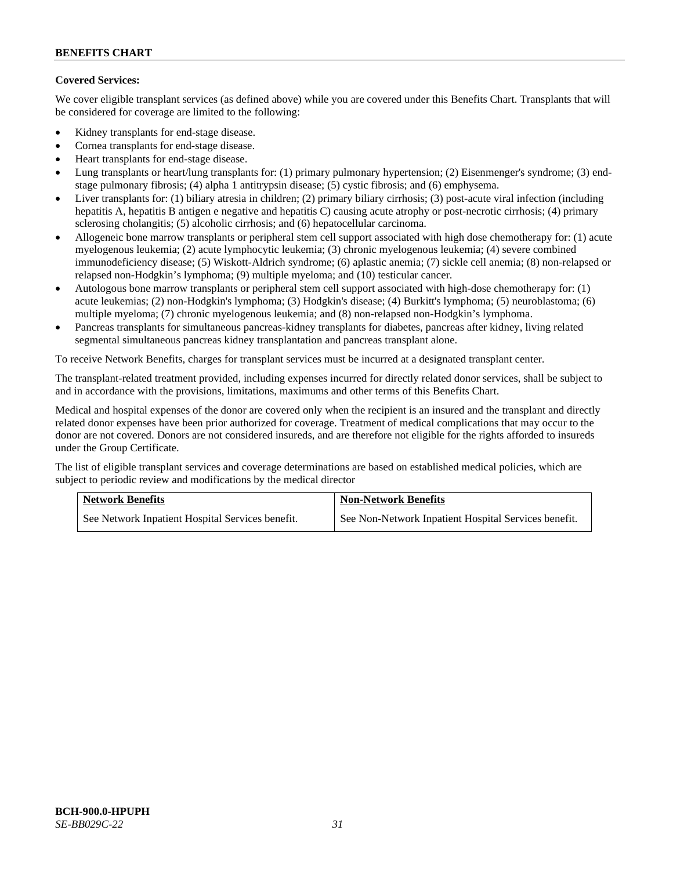# **Covered Services:**

We cover eligible transplant services (as defined above) while you are covered under this Benefits Chart. Transplants that will be considered for coverage are limited to the following:

- Kidney transplants for end-stage disease.
- Cornea transplants for end-stage disease.
- Heart transplants for end-stage disease.
- Lung transplants or heart/lung transplants for: (1) primary pulmonary hypertension; (2) Eisenmenger's syndrome; (3) endstage pulmonary fibrosis; (4) alpha 1 antitrypsin disease; (5) cystic fibrosis; and (6) emphysema.
- Liver transplants for: (1) biliary atresia in children; (2) primary biliary cirrhosis; (3) post-acute viral infection (including hepatitis A, hepatitis B antigen e negative and hepatitis C) causing acute atrophy or post-necrotic cirrhosis; (4) primary sclerosing cholangitis; (5) alcoholic cirrhosis; and (6) hepatocellular carcinoma.
- Allogeneic bone marrow transplants or peripheral stem cell support associated with high dose chemotherapy for: (1) acute myelogenous leukemia; (2) acute lymphocytic leukemia; (3) chronic myelogenous leukemia; (4) severe combined immunodeficiency disease; (5) Wiskott-Aldrich syndrome; (6) aplastic anemia; (7) sickle cell anemia; (8) non-relapsed or relapsed non-Hodgkin's lymphoma; (9) multiple myeloma; and (10) testicular cancer.
- Autologous bone marrow transplants or peripheral stem cell support associated with high-dose chemotherapy for: (1) acute leukemias; (2) non-Hodgkin's lymphoma; (3) Hodgkin's disease; (4) Burkitt's lymphoma; (5) neuroblastoma; (6) multiple myeloma; (7) chronic myelogenous leukemia; and (8) non-relapsed non-Hodgkin's lymphoma.
- Pancreas transplants for simultaneous pancreas-kidney transplants for diabetes, pancreas after kidney, living related segmental simultaneous pancreas kidney transplantation and pancreas transplant alone.

To receive Network Benefits, charges for transplant services must be incurred at a designated transplant center.

The transplant-related treatment provided, including expenses incurred for directly related donor services, shall be subject to and in accordance with the provisions, limitations, maximums and other terms of this Benefits Chart.

Medical and hospital expenses of the donor are covered only when the recipient is an insured and the transplant and directly related donor expenses have been prior authorized for coverage. Treatment of medical complications that may occur to the donor are not covered. Donors are not considered insureds, and are therefore not eligible for the rights afforded to insureds under the Group Certificate.

The list of eligible transplant services and coverage determinations are based on established medical policies, which are subject to periodic review and modifications by the medical director

| <b>Network Benefits</b>                          | <b>Non-Network Benefits</b>                          |
|--------------------------------------------------|------------------------------------------------------|
| See Network Inpatient Hospital Services benefit. | See Non-Network Inpatient Hospital Services benefit. |